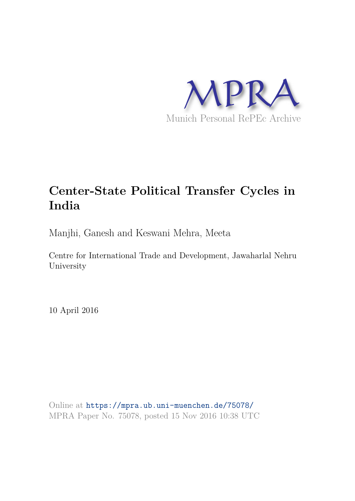

# **Center-State Political Transfer Cycles in India**

Manjhi, Ganesh and Keswani Mehra, Meeta

Centre for International Trade and Development, Jawaharlal Nehru University

10 April 2016

Online at https://mpra.ub.uni-muenchen.de/75078/ MPRA Paper No. 75078, posted 15 Nov 2016 10:38 UTC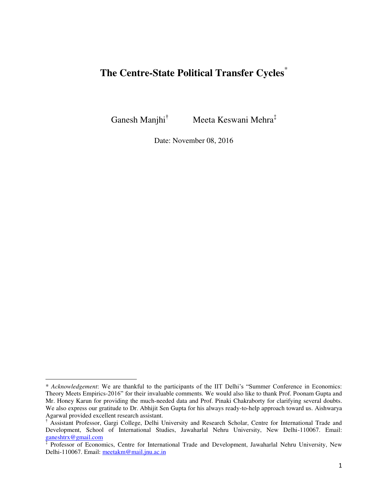# **The Centre-State Political Transfer Cycles**\*

Ganesh Manjhi†

l

Meeta Keswani Mehra‡

Date: November 08, 2016

<sup>\*</sup> *Acknowledgement*: We are thankful to the participants of the IIT Delhi"s "Summer Conference in Economics: Theory Meets Empirics-2016" for their invaluable comments. We would also like to thank Prof. Poonam Gupta and Mr. Honey Karun for providing the much-needed data and Prof. Pinaki Chakraborty for clarifying several doubts. We also express our gratitude to Dr. Abhijit Sen Gupta for his always ready-to-help approach toward us. Aishwarya Agarwal provided excellent research assistant.

<sup>†</sup> Assistant Professor, Gargi College, Delhi University and Research Scholar, Centre for International Trade and Development, School of International Studies, Jawaharlal Nehru University, New Delhi-110067. Email:

ganeshtrx@gmail.com<br>‡ Professor of Economics, Centre for International Trade and Development, Jawaharlal Nehru University, New Delhi-110067. Email[: meetakm@mail.jnu.ac.in](mailto:meetakm@mail.jnu.ac.in)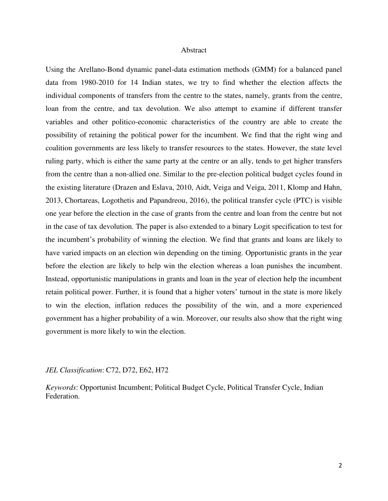#### Abstract

Using the Arellano-Bond dynamic panel-data estimation methods (GMM) for a balanced panel data from 1980-2010 for 14 Indian states, we try to find whether the election affects the individual components of transfers from the centre to the states, namely, grants from the centre, loan from the centre, and tax devolution. We also attempt to examine if different transfer variables and other politico-economic characteristics of the country are able to create the possibility of retaining the political power for the incumbent. We find that the right wing and coalition governments are less likely to transfer resources to the states. However, the state level ruling party, which is either the same party at the centre or an ally, tends to get higher transfers from the centre than a non-allied one. Similar to the pre-election political budget cycles found in the existing literature (Drazen and Eslava, 2010, Aidt, Veiga and Veiga, 2011, Klomp and Hahn, 2013, Chortareas, Logothetis and Papandreou, 2016), the political transfer cycle (PTC) is visible one year before the election in the case of grants from the centre and loan from the centre but not in the case of tax devolution. The paper is also extended to a binary Logit specification to test for the incumbent's probability of winning the election. We find that grants and loans are likely to have varied impacts on an election win depending on the timing. Opportunistic grants in the year before the election are likely to help win the election whereas a loan punishes the incumbent. Instead, opportunistic manipulations in grants and loan in the year of election help the incumbent retain political power. Further, it is found that a higher voters' turnout in the state is more likely to win the election, inflation reduces the possibility of the win, and a more experienced government has a higher probability of a win. Moreover, our results also show that the right wing government is more likely to win the election.

*JEL Classification*: C72, D72, E62, H72

*Keywords*: Opportunist Incumbent; Political Budget Cycle, Political Transfer Cycle, Indian Federation.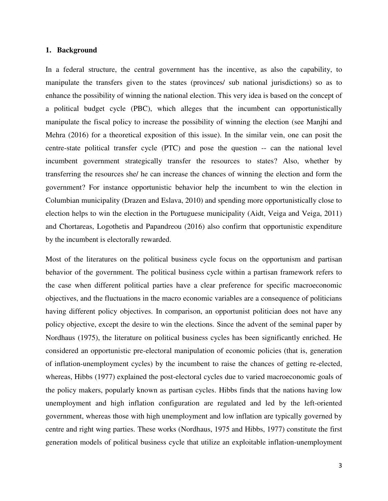#### **1. Background**

In a federal structure, the central government has the incentive, as also the capability, to manipulate the transfers given to the states (provinces/ sub national jurisdictions) so as to enhance the possibility of winning the national election. This very idea is based on the concept of a political budget cycle (PBC), which alleges that the incumbent can opportunistically manipulate the fiscal policy to increase the possibility of winning the election (see Manjhi and Mehra (2016) for a theoretical exposition of this issue). In the similar vein, one can posit the centre-state political transfer cycle (PTC) and pose the question -- can the national level incumbent government strategically transfer the resources to states? Also, whether by transferring the resources she/ he can increase the chances of winning the election and form the government? For instance opportunistic behavior help the incumbent to win the election in Columbian municipality (Drazen and Eslava, 2010) and spending more opportunistically close to election helps to win the election in the Portuguese municipality (Aidt, Veiga and Veiga, 2011) and Chortareas, Logothetis and Papandreou (2016) also confirm that opportunistic expenditure by the incumbent is electorally rewarded.

Most of the literatures on the political business cycle focus on the opportunism and partisan behavior of the government. The political business cycle within a partisan framework refers to the case when different political parties have a clear preference for specific macroeconomic objectives, and the fluctuations in the macro economic variables are a consequence of politicians having different policy objectives. In comparison, an opportunist politician does not have any policy objective, except the desire to win the elections. Since the advent of the seminal paper by Nordhaus (1975), the literature on political business cycles has been significantly enriched. He considered an opportunistic pre-electoral manipulation of economic policies (that is, generation of inflation-unemployment cycles) by the incumbent to raise the chances of getting re-elected, whereas, Hibbs (1977) explained the post-electoral cycles due to varied macroeconomic goals of the policy makers, popularly known as partisan cycles. Hibbs finds that the nations having low unemployment and high inflation configuration are regulated and led by the left-oriented government, whereas those with high unemployment and low inflation are typically governed by centre and right wing parties. These works (Nordhaus, 1975 and Hibbs, 1977) constitute the first generation models of political business cycle that utilize an exploitable inflation-unemployment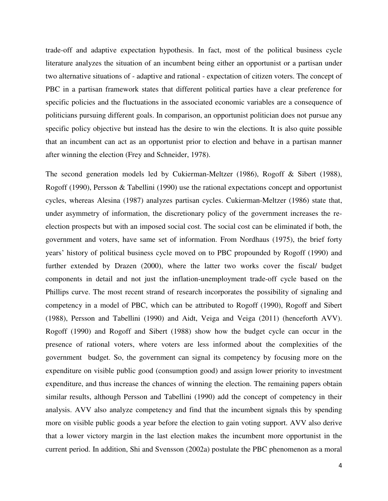trade-off and adaptive expectation hypothesis. In fact, most of the political business cycle literature analyzes the situation of an incumbent being either an opportunist or a partisan under two alternative situations of - adaptive and rational - expectation of citizen voters. The concept of PBC in a partisan framework states that different political parties have a clear preference for specific policies and the fluctuations in the associated economic variables are a consequence of politicians pursuing different goals. In comparison, an opportunist politician does not pursue any specific policy objective but instead has the desire to win the elections. It is also quite possible that an incumbent can act as an opportunist prior to election and behave in a partisan manner after winning the election (Frey and Schneider, 1978).

The second generation models led by Cukierman-Meltzer (1986), Rogoff & Sibert (1988), Rogoff (1990), Persson & Tabellini (1990) use the rational expectations concept and opportunist cycles, whereas Alesina (1987) analyzes partisan cycles. Cukierman-Meltzer (1986) state that, under asymmetry of information, the discretionary policy of the government increases the reelection prospects but with an imposed social cost. The social cost can be eliminated if both, the government and voters, have same set of information. From Nordhaus (1975), the brief forty years" history of political business cycle moved on to PBC propounded by Rogoff (1990) and further extended by Drazen (2000), where the latter two works cover the fiscal/ budget components in detail and not just the inflation-unemployment trade-off cycle based on the Phillips curve. The most recent strand of research incorporates the possibility of signaling and competency in a model of PBC, which can be attributed to Rogoff (1990), Rogoff and Sibert (1988), Persson and Tabellini (1990) and Aidt, Veiga and Veiga (2011) (henceforth AVV). Rogoff (1990) and Rogoff and Sibert (1988) show how the budget cycle can occur in the presence of rational voters, where voters are less informed about the complexities of the government budget. So, the government can signal its competency by focusing more on the expenditure on visible public good (consumption good) and assign lower priority to investment expenditure, and thus increase the chances of winning the election. The remaining papers obtain similar results, although Persson and Tabellini (1990) add the concept of competency in their analysis. AVV also analyze competency and find that the incumbent signals this by spending more on visible public goods a year before the election to gain voting support. AVV also derive that a lower victory margin in the last election makes the incumbent more opportunist in the current period. In addition, Shi and Svensson (2002a) postulate the PBC phenomenon as a moral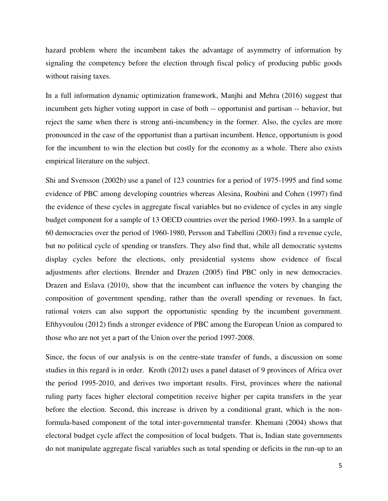hazard problem where the incumbent takes the advantage of asymmetry of information by signaling the competency before the election through fiscal policy of producing public goods without raising taxes.

In a full information dynamic optimization framework, Manjhi and Mehra (2016) suggest that incumbent gets higher voting support in case of both -- opportunist and partisan -- behavior, but reject the same when there is strong anti-incumbency in the former. Also, the cycles are more pronounced in the case of the opportunist than a partisan incumbent. Hence, opportunism is good for the incumbent to win the election but costly for the economy as a whole. There also exists empirical literature on the subject.

Shi and Svensson (2002b) use a panel of 123 countries for a period of 1975-1995 and find some evidence of PBC among developing countries whereas Alesina, Roubini and Cohen (1997) find the evidence of these cycles in aggregate fiscal variables but no evidence of cycles in any single budget component for a sample of 13 OECD countries over the period 1960-1993. In a sample of 60 democracies over the period of 1960-1980, Persson and Tabellini (2003) find a revenue cycle, but no political cycle of spending or transfers. They also find that, while all democratic systems display cycles before the elections, only presidential systems show evidence of fiscal adjustments after elections. Brender and Drazen (2005) find PBC only in new democracies. Drazen and Eslava (2010), show that the incumbent can influence the voters by changing the composition of government spending, rather than the overall spending or revenues. In fact, rational voters can also support the opportunistic spending by the incumbent government. Efthyvoulou (2012) finds a stronger evidence of PBC among the European Union as compared to those who are not yet a part of the Union over the period 1997-2008.

Since, the focus of our analysis is on the centre-state transfer of funds, a discussion on some studies in this regard is in order. Kroth (2012) uses a panel dataset of 9 provinces of Africa over the period 1995-2010, and derives two important results. First, provinces where the national ruling party faces higher electoral competition receive higher per capita transfers in the year before the election. Second, this increase is driven by a conditional grant, which is the nonformula-based component of the total inter-governmental transfer. Khemani (2004) shows that electoral budget cycle affect the composition of local budgets. That is, Indian state governments do not manipulate aggregate fiscal variables such as total spending or deficits in the run-up to an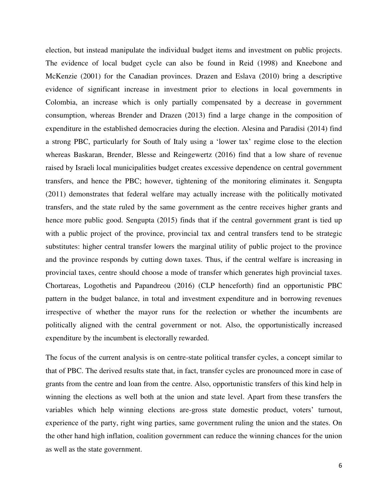election, but instead manipulate the individual budget items and investment on public projects. The evidence of local budget cycle can also be found in Reid (1998) and Kneebone and McKenzie (2001) for the Canadian provinces. Drazen and Eslava (2010) bring a descriptive evidence of significant increase in investment prior to elections in local governments in Colombia, an increase which is only partially compensated by a decrease in government consumption, whereas Brender and Drazen (2013) find a large change in the composition of expenditure in the established democracies during the election. Alesina and Paradisi (2014) find a strong PBC, particularly for South of Italy using a "lower tax" regime close to the election whereas Baskaran, Brender, Blesse and Reingewertz (2016) find that a low share of revenue raised by Israeli local municipalities budget creates excessive dependence on central government transfers, and hence the PBC; however, tightening of the monitoring eliminates it. Sengupta (2011) demonstrates that federal welfare may actually increase with the politically motivated transfers, and the state ruled by the same government as the centre receives higher grants and hence more public good. Sengupta (2015) finds that if the central government grant is tied up with a public project of the province, provincial tax and central transfers tend to be strategic substitutes: higher central transfer lowers the marginal utility of public project to the province and the province responds by cutting down taxes. Thus, if the central welfare is increasing in provincial taxes, centre should choose a mode of transfer which generates high provincial taxes. Chortareas, Logothetis and Papandreou (2016) (CLP henceforth) find an opportunistic PBC pattern in the budget balance, in total and investment expenditure and in borrowing revenues irrespective of whether the mayor runs for the reelection or whether the incumbents are politically aligned with the central government or not. Also, the opportunistically increased expenditure by the incumbent is electorally rewarded.

The focus of the current analysis is on centre-state political transfer cycles, a concept similar to that of PBC. The derived results state that, in fact, transfer cycles are pronounced more in case of grants from the centre and loan from the centre. Also, opportunistic transfers of this kind help in winning the elections as well both at the union and state level. Apart from these transfers the variables which help winning elections are-gross state domestic product, voters' turnout, experience of the party, right wing parties, same government ruling the union and the states. On the other hand high inflation, coalition government can reduce the winning chances for the union as well as the state government.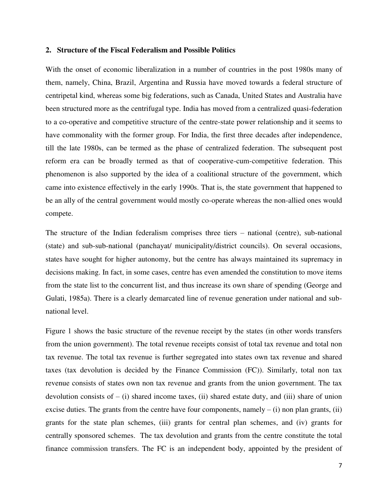#### **2. Structure of the Fiscal Federalism and Possible Politics**

With the onset of economic liberalization in a number of countries in the post 1980s many of them, namely, China, Brazil, Argentina and Russia have moved towards a federal structure of centripetal kind, whereas some big federations, such as Canada, United States and Australia have been structured more as the centrifugal type. India has moved from a centralized quasi-federation to a co-operative and competitive structure of the centre-state power relationship and it seems to have commonality with the former group. For India, the first three decades after independence, till the late 1980s, can be termed as the phase of centralized federation. The subsequent post reform era can be broadly termed as that of cooperative-cum-competitive federation. This phenomenon is also supported by the idea of a coalitional structure of the government, which came into existence effectively in the early 1990s. That is, the state government that happened to be an ally of the central government would mostly co-operate whereas the non-allied ones would compete.

The structure of the Indian federalism comprises three tiers – national (centre), sub-national (state) and sub-sub-national (panchayat/ municipality/district councils). On several occasions, states have sought for higher autonomy, but the centre has always maintained its supremacy in decisions making. In fact, in some cases, centre has even amended the constitution to move items from the state list to the concurrent list, and thus increase its own share of spending (George and Gulati, 1985a). There is a clearly demarcated line of revenue generation under national and subnational level.

Figure 1 shows the basic structure of the revenue receipt by the states (in other words transfers from the union government). The total revenue receipts consist of total tax revenue and total non tax revenue. The total tax revenue is further segregated into states own tax revenue and shared taxes (tax devolution is decided by the Finance Commission (FC)). Similarly, total non tax revenue consists of states own non tax revenue and grants from the union government. The tax devolution consists of  $-$  (i) shared income taxes, (ii) shared estate duty, and (iii) share of union excise duties. The grants from the centre have four components, namely  $- (i)$  non plan grants, (ii) grants for the state plan schemes, (iii) grants for central plan schemes, and (iv) grants for centrally sponsored schemes. The tax devolution and grants from the centre constitute the total finance commission transfers. The FC is an independent body, appointed by the president of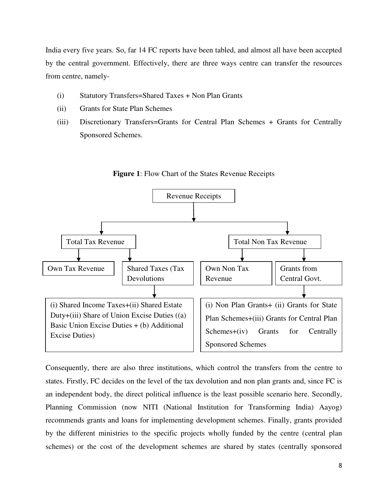India every five years. So, far 14 FC reports have been tabled, and almost all have been accepted by the central government. Effectively, there are three ways centre can transfer the resources from centre, namely-

- (i) Statutory Transfers=Shared Taxes + Non Plan Grants
- (ii) Grants for State Plan Schemes
- (iii) Discretionary Transfers=Grants for Central Plan Schemes + Grants for Centrally Sponsored Schemes.



**Figure 1**: Flow Chart of the States Revenue Receipts

Consequently, there are also three institutions, which control the transfers from the centre to states. Firstly, FC decides on the level of the tax devolution and non plan grants and, since FC is an independent body, the direct political influence is the least possible scenario here. Secondly, Planning Commission (now NITI (National Institution for Transforming India) Aayog) recommends grants and loans for implementing development schemes. Finally, grants provided by the different ministries to the specific projects wholly funded by the centre (central plan schemes) or the cost of the development schemes are shared by states (centrally sponsored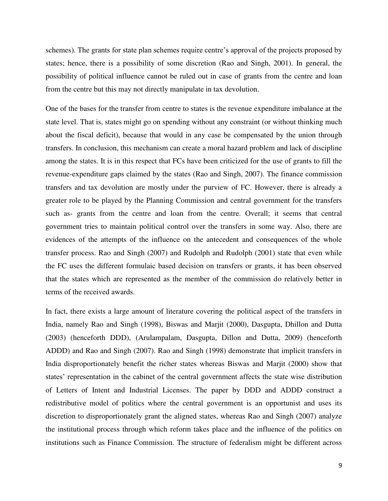schemes). The grants for state plan schemes require centre"s approval of the projects proposed by states; hence, there is a possibility of some discretion (Rao and Singh, 2001). In general, the possibility of political influence cannot be ruled out in case of grants from the centre and loan from the centre but this may not directly manipulate in tax devolution.

One of the bases for the transfer from centre to states is the revenue expenditure imbalance at the state level. That is, states might go on spending without any constraint (or without thinking much about the fiscal deficit), because that would in any case be compensated by the union through transfers. In conclusion, this mechanism can create a moral hazard problem and lack of discipline among the states. It is in this respect that FCs have been criticized for the use of grants to fill the revenue-expenditure gaps claimed by the states (Rao and Singh, 2007). The finance commission transfers and tax devolution are mostly under the purview of FC. However, there is already a greater role to be played by the Planning Commission and central government for the transfers such as- grants from the centre and loan from the centre. Overall; it seems that central government tries to maintain political control over the transfers in some way. Also, there are evidences of the attempts of the influence on the antecedent and consequences of the whole transfer process. Rao and Singh (2007) and Rudolph and Rudolph (2001) state that even while the FC uses the different formulaic based decision on transfers or grants, it has been observed that the states which are represented as the member of the commission do relatively better in terms of the received awards.

In fact, there exists a large amount of literature covering the political aspect of the transfers in India, namely Rao and Singh (1998), Biswas and Marjit (2000), Dasgupta, Dhillon and Dutta (2003) (henceforth DDD), (Arulampalam, Dasgupta, Dillon and Dutta, 2009) (henceforth ADDD) and Rao and Singh (2007). Rao and Singh (1998) demonstrate that implicit transfers in India disproportionately benefit the richer states whereas Biswas and Marjit (2000) show that states" representation in the cabinet of the central government affects the state wise distribution of Letters of Intent and Industrial Licenses. The paper by DDD and ADDD construct a redistributive model of politics where the central government is an opportunist and uses its discretion to disproportionately grant the aligned states, whereas Rao and Singh (2007) analyze the institutional process through which reform takes place and the influence of the politics on institutions such as Finance Commission. The structure of federalism might be different across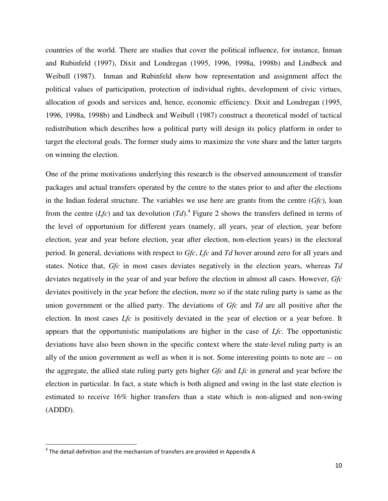countries of the world. There are studies that cover the political influence, for instance, Inman and Rubinfeld (1997), Dixit and Londregan (1995, 1996, 1998a, 1998b) and Lindbeck and Weibull (1987). Inman and Rubinfeld show how representation and assignment affect the political values of participation, protection of individual rights, development of civic virtues, allocation of goods and services and, hence, economic efficiency. Dixit and Londregan (1995, 1996, 1998a, 1998b) and Lindbeck and Weibull (1987) construct a theoretical model of tactical redistribution which describes how a political party will design its policy platform in order to target the electoral goals. The former study aims to maximize the vote share and the latter targets on winning the election.

One of the prime motivations underlying this research is the observed announcement of transfer packages and actual transfers operated by the centre to the states prior to and after the elections in the Indian federal structure. The variables we use here are grants from the centre (*Gfc*), loan from the centre  $(Lfc)$  and tax devolution  $(Td)$ .<sup>4</sup> Figure 2 shows the transfers defined in terms of the level of opportunism for different years (namely, all years, year of election, year before election, year and year before election, year after election, non-election years) in the electoral period. In general, deviations with respect to *Gfc*, *Lfc* and *Td* hover around zero for all years and states. Notice that, *Gfc* in most cases deviates negatively in the election years, whereas *Td* deviates negatively in the year of and year before the election in almost all cases. However, *Gfc* deviates positively in the year before the election, more so if the state ruling party is same as the union government or the allied party. The deviations of *Gfc* and *Td* are all positive after the election. In most cases *Lfc* is positively deviated in the year of election or a year before. It appears that the opportunistic manipulations are higher in the case of *Lfc*. The opportunistic deviations have also been shown in the specific context where the state-level ruling party is an ally of the union government as well as when it is not. Some interesting points to note are -- on the aggregate, the allied state ruling party gets higher *Gfc* and *Lfc* in general and year before the election in particular. In fact, a state which is both aligned and swing in the last state election is estimated to receive 16% higher transfers than a state which is non-aligned and non-swing (ADDD).

l

 $^4$  The detail definition and the mechanism of transfers are provided in Appendix A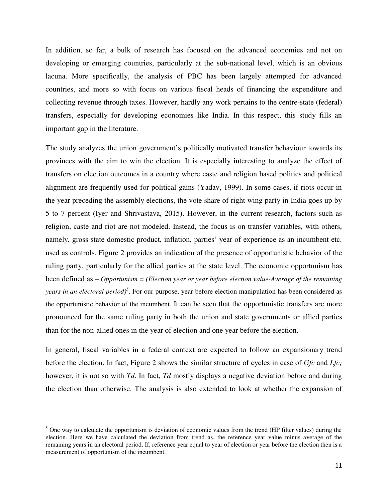In addition, so far, a bulk of research has focused on the advanced economies and not on developing or emerging countries, particularly at the sub-national level, which is an obvious lacuna. More specifically, the analysis of PBC has been largely attempted for advanced countries, and more so with focus on various fiscal heads of financing the expenditure and collecting revenue through taxes. However, hardly any work pertains to the centre-state (federal) transfers, especially for developing economies like India. In this respect, this study fills an important gap in the literature.

The study analyzes the union government's politically motivated transfer behaviour towards its provinces with the aim to win the election. It is especially interesting to analyze the effect of transfers on election outcomes in a country where caste and religion based politics and political alignment are frequently used for political gains (Yadav, 1999). In some cases, if riots occur in the year preceding the assembly elections, the vote share of right wing party in India goes up by 5 to 7 percent (Iyer and Shrivastava, 2015). However, in the current research, factors such as religion, caste and riot are not modeled. Instead, the focus is on transfer variables, with others, namely, gross state domestic product, inflation, parties' year of experience as an incumbent etc. used as controls. Figure 2 provides an indication of the presence of opportunistic behavior of the ruling party, particularly for the allied parties at the state level. The economic opportunism has been defined as – *Opportunism = (Election year or year before election value-Average of the remaining years in an electoral period)<sup>5</sup>* . For our purpose, year before election manipulation has been considered as the opportunistic behavior of the incumbent. It can be seen that the opportunistic transfers are more pronounced for the same ruling party in both the union and state governments or allied parties than for the non-allied ones in the year of election and one year before the election.

In general, fiscal variables in a federal context are expected to follow an expansionary trend before the election. In fact, Figure 2 shows the similar structure of cycles in case of *Gfc* and *Lfc;* however, it is not so with *Td*. In fact, *Td* mostly displays a negative deviation before and during the election than otherwise. The analysis is also extended to look at whether the expansion of

l

 $<sup>5</sup>$  One way to calculate the opportunism is deviation of economic values from the trend (HP filter values) during the</sup> election. Here we have calculated the deviation from trend as, the reference year value minus average of the remaining years in an electoral period. If, reference year equal to year of election or year before the election then is a measurement of opportunism of the incumbent.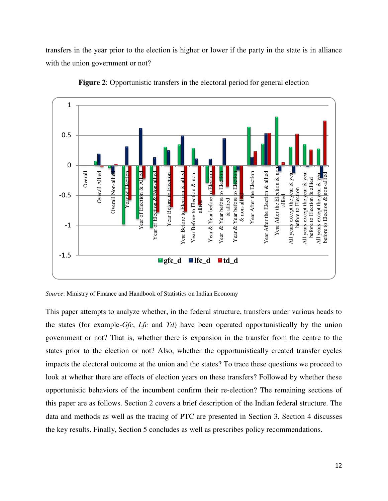transfers in the year prior to the election is higher or lower if the party in the state is in alliance with the union government or not?



**Figure 2**: Opportunistic transfers in the electoral period for general election

*Source*: Ministry of Finance and Handbook of Statistics on Indian Economy

This paper attempts to analyze whether, in the federal structure, transfers under various heads to the states (for example-*Gfc*, *Lfc* and *Td*) have been operated opportunistically by the union government or not? That is, whether there is expansion in the transfer from the centre to the states prior to the election or not? Also, whether the opportunistically created transfer cycles impacts the electoral outcome at the union and the states? To trace these questions we proceed to look at whether there are effects of election years on these transfers? Followed by whether these opportunistic behaviors of the incumbent confirm their re-election? The remaining sections of this paper are as follows. Section 2 covers a brief description of the Indian federal structure. The data and methods as well as the tracing of PTC are presented in Section 3. Section 4 discusses the key results. Finally, Section 5 concludes as well as prescribes policy recommendations.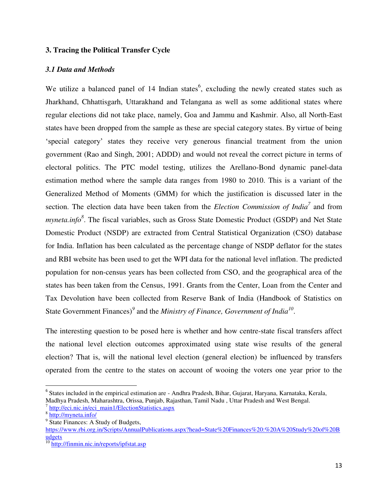#### **3. Tracing the Political Transfer Cycle**

#### *3.1 Data and Methods*

We utilize a balanced panel of  $14$  Indian states<sup>6</sup>, excluding the newly created states such as Jharkhand, Chhattisgarh, Uttarakhand and Telangana as well as some additional states where regular elections did not take place, namely, Goa and Jammu and Kashmir. Also, all North-East states have been dropped from the sample as these are special category states. By virtue of being 'special category' states they receive very generous financial treatment from the union government (Rao and Singh, 2001; ADDD) and would not reveal the correct picture in terms of electoral politics. The PTC model testing, utilizes the Arellano-Bond dynamic panel-data estimation method where the sample data ranges from 1980 to 2010. This is a variant of the Generalized Method of Moments (GMM) for which the justification is discussed later in the section. The election data have been taken from the *Election Commission of India<sup>7</sup>* and from *myneta.info<sup>8</sup>* . The fiscal variables, such as Gross State Domestic Product (GSDP) and Net State Domestic Product (NSDP) are extracted from Central Statistical Organization (CSO) database for India. Inflation has been calculated as the percentage change of NSDP deflator for the states and RBI website has been used to get the WPI data for the national level inflation. The predicted population for non-census years has been collected from CSO, and the geographical area of the states has been taken from the Census, 1991. Grants from the Center, Loan from the Center and Tax Devolution have been collected from Reserve Bank of India (Handbook of Statistics on State Government Finances)<sup>9</sup> and the *Ministry of Finance, Government of India*<sup>10</sup>.

The interesting question to be posed here is whether and how centre-state fiscal transfers affect the national level election outcomes approximated using state wise results of the general election? That is, will the national level election (general election) be influenced by transfers operated from the centre to the states on account of wooing the voters one year prior to the

l

<sup>&</sup>lt;sup>6</sup> States included in the empirical estimation are - Andhra Pradesh, Bihar, Gujarat, Haryana, Karnataka, Kerala, Madhya Pradesh, Maharashtra, Orissa, Punjab, Rajasthan, Tamil Nadu , Uttar Pradesh and West Bengal.

<sup>&</sup>lt;sup>7</sup> http://eci.nic.in/eci\_main1/ElectionStatistics.aspx

<sup>8</sup> <http://myneta.info/>

<sup>&</sup>lt;sup>9</sup> State Finances: A Study of Budgets,

[https://www.rbi.org.in/Scripts/AnnualPublications.aspx?head=State%20Finances%20:%20A%20Study%20of%20B](https://www.rbi.org.in/Scripts/AnnualPublications.aspx?head=State%20Finances%20:%20A%20Study%20of%20Budgets) [udgets](https://www.rbi.org.in/Scripts/AnnualPublications.aspx?head=State%20Finances%20:%20A%20Study%20of%20Budgets) 

<sup>&</sup>lt;sup>10</sup> <http://finmin.nic.in/reports/ipfstat.asp>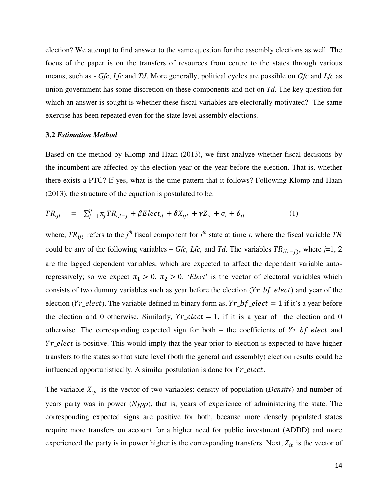election? We attempt to find answer to the same question for the assembly elections as well. The focus of the paper is on the transfers of resources from centre to the states through various means, such as - *Gfc*, *Lfc* and *Td*. More generally, political cycles are possible on *Gfc* and *Lfc* as union government has some discretion on these components and not on *Td*. The key question for which an answer is sought is whether these fiscal variables are electorally motivated? The same exercise has been repeated even for the state level assembly elections.

#### **3.2** *Estimation Method*

Based on the method by Klomp and Haan (2013), we first analyze whether fiscal decisions by the incumbent are affected by the election year or the year before the election. That is, whether there exists a PTC? If yes, what is the time pattern that it follows? Following Klomp and Haan (2013), the structure of the equation is postulated to be:

$$
TR_{ijt} = \sum_{j=1}^{p} \pi_j TR_{i,t-j} + \beta Elect_{it} + \delta X_{ijt} + \gamma Z_{it} + \sigma_i + \vartheta_{it}
$$
 (1)

where,  $TR_{ijt}$  refers to the  $j<sup>th</sup>$  fiscal component for  $i<sup>th</sup>$  state at time *t*, where the fiscal variable TR could be any of the following variables – *Gfc, Lfc,* and *Td*. The variables  $TR_{i(t-j)}$ , where *j*=1, 2 are the lagged dependent variables, which are expected to affect the dependent variable autoregressively; so we expect  $\pi_1 > 0$ ,  $\pi_2 > 0$ . '*Elect*' is the vector of electoral variables which consists of two dummy variables such as year before the election  $(Yr_b f_{\text{rel}})$  and year of the election ( $Yr\_elect$ ). The variable defined in binary form as,  $Yr\_bf\_elect = 1$  if it's a year before the election and 0 otherwise. Similarly,  $Yr$ -elect = 1, if it is a year of the election and 0 otherwise. The corresponding expected sign for both – the coefficients of  $Yr_bf_e$ elect and  $Yr$ <sub>-elect</sub> is positive. This would imply that the year prior to election is expected to have higher transfers to the states so that state level (both the general and assembly) election results could be influenced opportunistically. A similar postulation is done for  $Yr$  *elect*.

The variable  $X_{ijt}$  is the vector of two variables: density of population (*Density*) and number of years party was in power (*Nypp*), that is, years of experience of administering the state. The corresponding expected signs are positive for both, because more densely populated states require more transfers on account for a higher need for public investment (ADDD) and more experienced the party is in power higher is the corresponding transfers. Next,  $Z_{it}$  is the vector of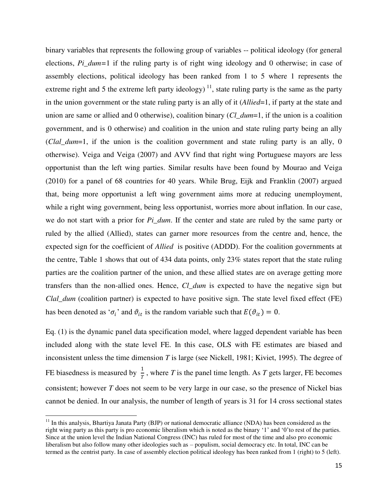binary variables that represents the following group of variables -- political ideology (for general elections, *Pi* dum=1 if the ruling party is of right wing ideology and 0 otherwise; in case of assembly elections, political ideology has been ranked from 1 to 5 where 1 represents the extreme right and 5 the extreme left party ideology)<sup>11</sup>, state ruling party is the same as the party in the union government or the state ruling party is an ally of it (*Allied*=1, if party at the state and union are same or allied and 0 otherwise), coalition binary (*Cl\_dum*=1, if the union is a coalition government, and is 0 otherwise) and coalition in the union and state ruling party being an ally (*Clal\_dum*=1, if the union is the coalition government and state ruling party is an ally, 0 otherwise). Veiga and Veiga (2007) and AVV find that right wing Portuguese mayors are less opportunist than the left wing parties. Similar results have been found by Mourao and Veiga (2010) for a panel of 68 countries for 40 years. While Brug, Eijk and Franklin (2007) argued that, being more opportunist a left wing government aims more at reducing unemployment, while a right wing government, being less opportunist, worries more about inflation. In our case, we do not start with a prior for *Pi\_dum*. If the center and state are ruled by the same party or ruled by the allied (Allied), states can garner more resources from the centre and, hence, the expected sign for the coefficient of *Allied* is positive (ADDD). For the coalition governments at the centre, Table 1 shows that out of 434 data points, only 23% states report that the state ruling parties are the coalition partner of the union, and these allied states are on average getting more transfers than the non-allied ones. Hence, *Cl\_dum* is expected to have the negative sign but *Clal\_dum* (coalition partner) is expected to have positive sign. The state level fixed effect (FE) has been denoted as ' $\sigma_i$ ' and  $\vartheta_{it}$  is the random variable such that  $E(\vartheta_{it}) = 0$ .

Eq. (1) is the dynamic panel data specification model, where lagged dependent variable has been included along with the state level FE. In this case, OLS with FE estimates are biased and inconsistent unless the time dimension *T* is large (see Nickell, 1981; Kiviet, 1995). The degree of FE biasedness is measured by  $\frac{1}{T}$ , where *T* is the panel time length. As *T* gets larger, FE becomes consistent; however *T* does not seem to be very large in our case, so the presence of Nickel bias cannot be denied. In our analysis, the number of length of years is 31 for 14 cross sectional states

 $\overline{a}$ 

 $11$  In this analysis, Bhartiya Janata Party (BJP) or national democratic alliance (NDA) has been considered as the right wing party as this party is pro economic liberalism which is noted as the binary "1" and "0"to rest of the parties. Since at the union level the Indian National Congress (INC) has ruled for most of the time and also pro economic liberalism but also follow many other ideologies such as – populism, social democracy etc. In total, INC can be termed as the centrist party. In case of assembly election political ideology has been ranked from 1 (right) to 5 (left).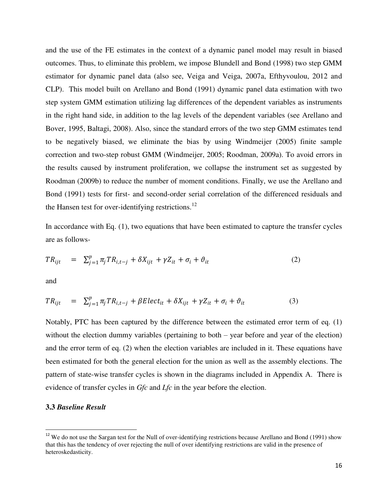and the use of the FE estimates in the context of a dynamic panel model may result in biased outcomes. Thus, to eliminate this problem, we impose Blundell and Bond (1998) two step GMM estimator for dynamic panel data (also see, Veiga and Veiga, 2007a, Efthyvoulou, 2012 and CLP). This model built on Arellano and Bond (1991) dynamic panel data estimation with two step system GMM estimation utilizing lag differences of the dependent variables as instruments in the right hand side, in addition to the lag levels of the dependent variables (see Arellano and Bover, 1995, Baltagi, 2008). Also, since the standard errors of the two step GMM estimates tend to be negatively biased, we eliminate the bias by using Windmeijer (2005) finite sample correction and two-step robust GMM (Windmeijer, 2005; Roodman, 2009a). To avoid errors in the results caused by instrument proliferation, we collapse the instrument set as suggested by Roodman (2009b) to reduce the number of moment conditions. Finally, we use the Arellano and Bond (1991) tests for first- and second-order serial correlation of the differenced residuals and the Hansen test for over-identifying restrictions.<sup>12</sup>

In accordance with Eq. (1), two equations that have been estimated to capture the transfer cycles are as follows-

$$
TR_{ijt} = \sum_{j=1}^{p} \pi_j TR_{i,t-j} + \delta X_{ijt} + \gamma Z_{it} + \sigma_i + \vartheta_{it}
$$
 (2)

and

$$
TR_{ijt} = \sum_{j=1}^{p} \pi_j TR_{i,t-j} + \beta Electric_{it} + \delta X_{ijt} + \gamma Z_{it} + \sigma_i + \vartheta_{it}
$$
 (3)

Notably, PTC has been captured by the difference between the estimated error term of eq. (1) without the election dummy variables (pertaining to both – year before and year of the election) and the error term of eq. (2) when the election variables are included in it. These equations have been estimated for both the general election for the union as well as the assembly elections. The pattern of state-wise transfer cycles is shown in the diagrams included in Appendix A. There is evidence of transfer cycles in *Gfc* and *Lfc* in the year before the election.

#### **3.3** *Baseline Result*

l

<sup>&</sup>lt;sup>12</sup> We do not use the Sargan test for the Null of over-identifying restrictions because Arellano and Bond (1991) show that this has the tendency of over rejecting the null of over identifying restrictions are valid in the presence of heteroskedasticity.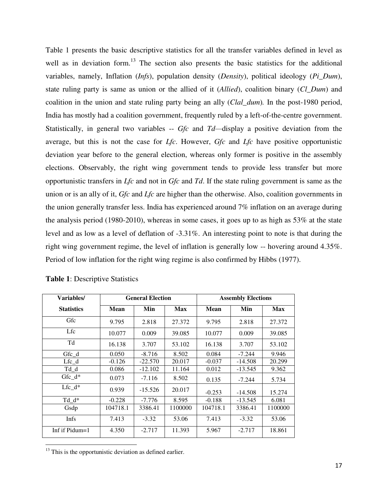Table 1 presents the basic descriptive statistics for all the transfer variables defined in level as well as in deviation form.<sup>13</sup> The section also presents the basic statistics for the additional variables, namely, Inflation (*Infs*), population density (*Density*), political ideology (*Pi\_Dum*), state ruling party is same as union or the allied of it (*Allied*), coalition binary (*Cl\_Dum*) and coalition in the union and state ruling party being an ally (*Clal\_dum*)*.* In the post-1980 period, India has mostly had a coalition government, frequently ruled by a left-of-the-centre government. Statistically, in general two variables -- *Gfc* and *Td—*display a positive deviation from the average, but this is not the case for *Lfc*. However, *Gfc* and *Lfc* have positive opportunistic deviation year before to the general election, whereas only former is positive in the assembly elections. Observably, the right wing government tends to provide less transfer but more opportunistic transfers in *Lfc* and not in *Gfc* and *Td*. If the state ruling government is same as the union or is an ally of it, *Gfc* and *Lfc* are higher than the otherwise. Also, coalition governments in the union generally transfer less. India has experienced around 7% inflation on an average during the analysis period (1980-2010), whereas in some cases, it goes up to as high as  $53\%$  at the state level and as low as a level of deflation of -3.31%. An interesting point to note is that during the right wing government regime, the level of inflation is generally low -- hovering around 4.35%. Period of low inflation for the right wing regime is also confirmed by Hibbs (1977).

| Variables/        |          | <b>General Election</b><br><b>Assembly Elections</b> |            |          |           |            |
|-------------------|----------|------------------------------------------------------|------------|----------|-----------|------------|
| <b>Statistics</b> | Mean     | Min                                                  | <b>Max</b> | Mean     | Min       | <b>Max</b> |
| Gfc               | 9.795    | 2.818                                                | 27.372     | 9.795    | 2.818     | 27.372     |
| Lfc               | 10.077   | 0.009                                                | 39.085     | 10.077   | 0.009     | 39.085     |
| Td                | 16.138   | 3.707                                                | 53.102     | 16.138   | 3.707     | 53.102     |
| Gfc_d             | 0.050    | $-8.716$                                             | 8.502      | 0.084    | $-7.244$  | 9.946      |
| Lfc d             | $-0.126$ | $-22.570$                                            | 20.017     | $-0.037$ | $-14.508$ | 20.299     |
| Td d              | 0.086    | $-12.102$                                            | 11.164     | 0.012    | $-13.545$ | 9.362      |
| Gfc $d^*$         | 0.073    | $-7.116$                                             | 8.502      | 0.135    | $-7.244$  | 5.734      |
| Lfc $d^*$         | 0.939    | $-15.526$                                            | 20.017     | $-0.253$ | $-14.508$ | 15.274     |
| Td d*             | $-0.228$ | $-7.776$                                             | 8.595      | $-0.188$ | $-13.545$ | 6.081      |
| Gsdp              | 104718.1 | 3386.41                                              | 1100000    | 104718.1 | 3386.41   | 1100000    |
| Infs              | 7.413    | $-3.32$                                              | 53.06      | 7.413    | $-3.32$   | 53.06      |
| Inf if $Pidum=1$  | 4.350    | $-2.717$                                             | 11.393     | 5.967    | $-2.717$  | 18.861     |

l

 $13$  This is the opportunistic deviation as defined earlier.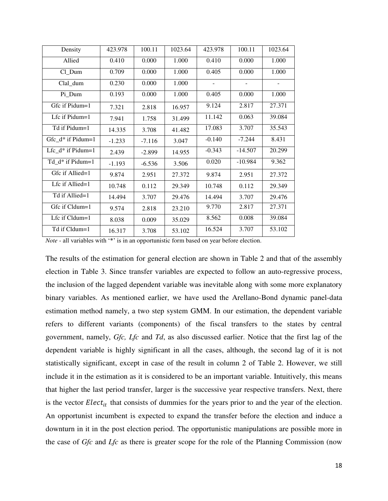| Density             | 423.978  | 100.11   | 1023.64 | 423.978  | 100.11    | 1023.64 |
|---------------------|----------|----------|---------|----------|-----------|---------|
| Allied              | 0.410    | 0.000    | 1.000   | 0.410    | 0.000     | 1.000   |
| $Cl\_Dum$           | 0.709    | 0.000    | 1.000   | 0.405    | 0.000     | 1.000   |
| Clal_dum            | 0.230    | 0.000    | 1.000   |          |           |         |
| Pi_Dum              | 0.193    | 0.000    | 1.000   | 0.405    | 0.000     | 1.000   |
| Gfc if Pidum=1      | 7.321    | 2.818    | 16.957  | 9.124    | 2.817     | 27.371  |
| Lfc if Pidum=1      | 7.941    | 1.758    | 31.499  | 11.142   | 0.063     | 39.084  |
| Td if Pidum=1       | 14.335   | 3.708    | 41.482  | 17.083   | 3.707     | 35.543  |
| $Gfc_d*$ if Pidum=1 | $-1.233$ | $-7.116$ | 3.047   | $-0.140$ | $-7.244$  | 8.431   |
| Lfc_d* if $Pidum=1$ | 2.439    | $-2.899$ | 14.955  | $-0.343$ | $-14.507$ | 20.299  |
| Td d* if Pidum=1    | $-1.193$ | $-6.536$ | 3.506   | 0.020    | $-10.984$ | 9.362   |
| Gfc if Allied=1     | 9.874    | 2.951    | 27.372  | 9.874    | 2.951     | 27.372  |
| Lfc if Allied=1     | 10.748   | 0.112    | 29.349  | 10.748   | 0.112     | 29.349  |
| Td if Allied=1      | 14.494   | 3.707    | 29.476  | 14.494   | 3.707     | 29.476  |
| Gfc if Cldum=1      | 9.574    | 2.818    | 23.210  | 9.770    | 2.817     | 27.371  |
| Lfc if Cldum=1      | 8.038    | 0.009    | 35.029  | 8.562    | 0.008     | 39.084  |
| Td if Cldum=1       | 16.317   | 3.708    | 53.102  | 16.524   | 3.707     | 53.102  |

*Note* - all variables with "\*" is in an opportunistic form based on year before election.

The results of the estimation for general election are shown in Table 2 and that of the assembly election in Table 3. Since transfer variables are expected to follow an auto-regressive process, the inclusion of the lagged dependent variable was inevitable along with some more explanatory binary variables. As mentioned earlier, we have used the Arellano-Bond dynamic panel-data estimation method namely, a two step system GMM. In our estimation, the dependent variable refers to different variants (components) of the fiscal transfers to the states by central government, namely, *Gfc, Lfc* and *Td*, as also discussed earlier. Notice that the first lag of the dependent variable is highly significant in all the cases, although, the second lag of it is not statistically significant, except in case of the result in column 2 of Table 2. However, we still include it in the estimation as it is considered to be an important variable. Intuitively, this means that higher the last period transfer, larger is the successive year respective transfers. Next, there is the vector  $Elect_{it}$  that consists of dummies for the years prior to and the year of the election. An opportunist incumbent is expected to expand the transfer before the election and induce a downturn in it in the post election period. The opportunistic manipulations are possible more in the case of *Gfc* and *Lfc* as there is greater scope for the role of the Planning Commission (now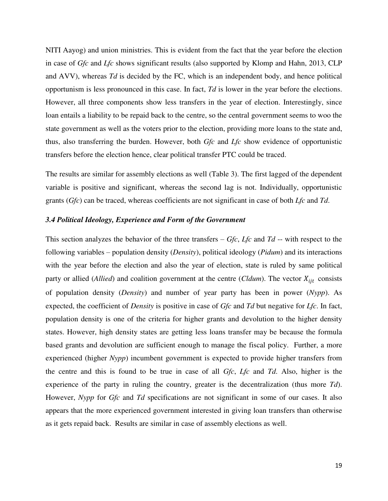NITI Aayog) and union ministries. This is evident from the fact that the year before the election in case of *Gfc* and *Lfc* shows significant results (also supported by Klomp and Hahn, 2013, CLP and AVV), whereas *Td* is decided by the FC, which is an independent body, and hence political opportunism is less pronounced in this case. In fact, *Td* is lower in the year before the elections. However, all three components show less transfers in the year of election. Interestingly, since loan entails a liability to be repaid back to the centre, so the central government seems to woo the state government as well as the voters prior to the election, providing more loans to the state and, thus, also transferring the burden. However, both *Gfc* and *Lfc* show evidence of opportunistic transfers before the election hence, clear political transfer PTC could be traced.

The results are similar for assembly elections as well (Table 3). The first lagged of the dependent variable is positive and significant, whereas the second lag is not. Individually, opportunistic grants (*Gfc*) can be traced, whereas coefficients are not significant in case of both *Lfc* and *Td*.

#### *3.4 Political Ideology, Experience and Form of the Government*

This section analyzes the behavior of the three transfers – *Gfc*, *Lfc* and *Td* -- with respect to the following variables – population density (*Density*), political ideology (*Pidum*) and its interactions with the year before the election and also the year of election, state is ruled by same political party or allied (*Allied*) and coalition government at the centre (*Cldum*). The vector  $X_{ijt}$  consists of population density (*Density*) and number of year party has been in power (*Nypp*). As expected, the coefficient of *Density* is positive in case of *Gfc* and *Td* but negative for *Lfc*. In fact, population density is one of the criteria for higher grants and devolution to the higher density states. However, high density states are getting less loans transfer may be because the formula based grants and devolution are sufficient enough to manage the fiscal policy. Further, a more experienced (higher *Nypp*) incumbent government is expected to provide higher transfers from the centre and this is found to be true in case of all *Gfc*, *Lfc* and *Td*. Also, higher is the experience of the party in ruling the country, greater is the decentralization (thus more *Td*). However, *Nypp* for *Gfc* and *Td* specifications are not significant in some of our cases. It also appears that the more experienced government interested in giving loan transfers than otherwise as it gets repaid back. Results are similar in case of assembly elections as well.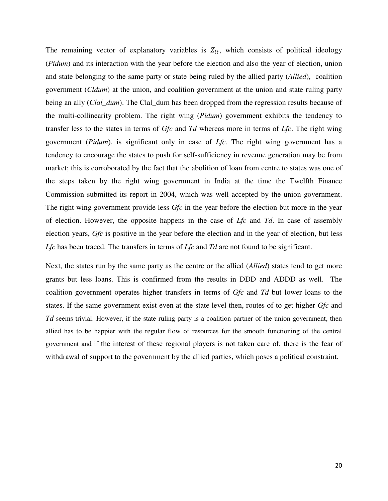The remaining vector of explanatory variables is  $Z_{it}$ , which consists of political ideology (*Pidum*) and its interaction with the year before the election and also the year of election, union and state belonging to the same party or state being ruled by the allied party (*Allied*), coalition government (*Cldum*) at the union, and coalition government at the union and state ruling party being an ally (*Clal\_dum*). The Clal\_dum has been dropped from the regression results because of the multi-collinearity problem. The right wing (*Pidum*) government exhibits the tendency to transfer less to the states in terms of *Gfc* and *Td* whereas more in terms of *Lfc*. The right wing government (*Pidum*), is significant only in case of *Lfc*. The right wing government has a tendency to encourage the states to push for self-sufficiency in revenue generation may be from market; this is corroborated by the fact that the abolition of loan from centre to states was one of the steps taken by the right wing government in India at the time the Twelfth Finance Commission submitted its report in 2004, which was well accepted by the union government. The right wing government provide less *Gfc* in the year before the election but more in the year of election. However, the opposite happens in the case of *Lfc* and *Td*. In case of assembly election years, *Gfc* is positive in the year before the election and in the year of election, but less *Lfc* has been traced. The transfers in terms of *Lfc* and *Td* are not found to be significant.

Next, the states run by the same party as the centre or the allied (*Allied*) states tend to get more grants but less loans. This is confirmed from the results in DDD and ADDD as well. The coalition government operates higher transfers in terms of *Gfc* and *Td* but lower loans to the states. If the same government exist even at the state level then, routes of to get higher *Gfc* and *Td* seems trivial. However, if the state ruling party is a coalition partner of the union government, then allied has to be happier with the regular flow of resources for the smooth functioning of the central government and if the interest of these regional players is not taken care of, there is the fear of withdrawal of support to the government by the allied parties, which poses a political constraint.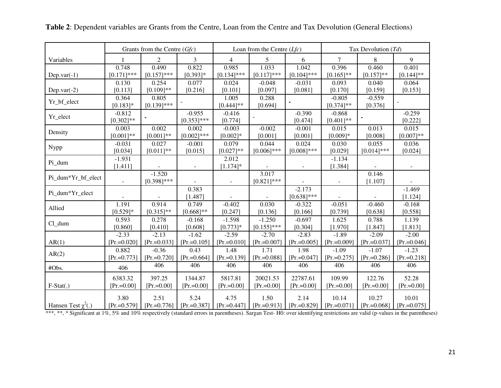|                         |                         | Grants from the Centre $(Gfc)$ |                           |                       | Loan from the Centre $(Lfc)$ |                           |                          | Tax Devolution $(Td)$ |                     |  |
|-------------------------|-------------------------|--------------------------------|---------------------------|-----------------------|------------------------------|---------------------------|--------------------------|-----------------------|---------------------|--|
| Variables               |                         | $\overline{2}$                 | 3                         | $\overline{4}$        | 5                            | 6                         | $\tau$                   | 8                     | 9                   |  |
| $Dep.var(-1)$           | 0.748                   | 0.490                          | 0.822                     | 0.985                 | 1.033                        | 1.042                     | 0.396                    | 0.460                 | 0.401               |  |
|                         | $[0.171]$ ***           | $[0.157]$ ***                  | $[0.393]$ *               | $[0.134]$ ***         | $[0.117]***$                 | $[0.104]$ ***             | $[0.165]$ **             | $[0.157]$ **          | $[0.144]$ **        |  |
| Dep.var $(-2)$          | 0.130                   | 0.254                          | 0.077                     | 0.024                 | $-0.048$                     | $-0.031$                  | 0.093                    | 0.040                 | 0.064               |  |
|                         | [0.113]                 | $[0.109]$ **                   | [0.216]                   | [0.101]               | [0.097]                      | [0.081]                   | [0.170]                  | [0.159]               | [0.153]             |  |
| Yr_bf_elect             | 0.364<br>$[0.183]$ *    | 0.805<br>$[0.139]$ ***         |                           | 1.005<br>$[0.444]$ ** | 0.288<br>[0.694]             |                           | $-0.805$<br>$[0.374]$ ** | $-0.559$<br>[0.376]   |                     |  |
| Yr_elect                | $-0.812$<br>$[0.302]**$ |                                | $-0.955$<br>$[0.353]$ *** | $-0.416$<br>[0.774]   |                              | $-0.390$<br>[0.474]       | $-0.868$<br>$[0.401]$ ** |                       | $-0.259$<br>[0.222] |  |
| Density                 | 0.003                   | 0.002                          | 0.002                     | $-0.003$              | $-0.002$                     | $-0.001$                  | 0.015                    | 0.013                 | 0.015               |  |
|                         | $[0.001]**$             | $[0.001]**$                    | $[0.002]$ ***             | $[0.002]*$            | [0.001]                      | [0.001]                   | $[0.009]*$               | [0.008]               | $[0.007]**$         |  |
| Nypp                    | $-0.031$                | 0.027                          | $-0.001$                  | 0.079                 | 0.044                        | 0.024                     | 0.030                    | 0.055                 | 0.036               |  |
|                         | [0.034]                 | $[0.011]$ **                   | [0.015]                   | $[0.027]**$           | $[0.006]$ ***                | $[0.008]$ ***             | [0.029]                  | $[0.014]$ ***         | [0.024]             |  |
| Pi_dum                  | $-1.931$<br>[1.411]     |                                |                           | 2.012<br>$[1.174]$ *  |                              |                           | $-1.134$<br>[1.384]      |                       |                     |  |
| Pi_dum*Yr_bf_elect      |                         | $-1.520$<br>$[0.398]$ ***      |                           |                       | 3.017<br>$[0.821]$ ***       |                           |                          | 0.146<br>[1.107]      |                     |  |
| Pi_dum*Yr_elect         |                         |                                | 0.383<br>[1.487]          |                       |                              | $-2.173$<br>$[0.638]$ *** |                          |                       | $-1.469$<br>[1.124] |  |
| Allied                  | 1.191                   | 0.914                          | 0.749                     | $-0.402$              | 0.030                        | $-0.322$                  | $-0.051$                 | $-0.460$              | $-0.168$            |  |
|                         | $[0.529]*$              | $[0.315]$ **                   | $[0.668]$ **              | [0.247]               | [0.136]                      | [0.166]                   | [0.739]                  | [0.638]               | [0.558]             |  |
| Cl_dum                  | 0.593                   | 0.278                          | $-0.168$                  | $-1.598$              | $-1.250$                     | $-0.697$                  | 1.625                    | 0.788                 | 1.139               |  |
|                         | [0.860]                 | [0.410]                        | [0.608]                   | $[0.773]*$            | $[0.155]$ ***                | [0.304]                   | [1.970]                  | [1.847]               | [1.813]             |  |
| AR(1)                   | $-2.33$                 | $-2.13$                        | $-1.62$                   | $-2.59$               | $-2.70$                      | $-2.83$                   | $-1.89$                  | $-2.09$               | $-2.00$             |  |
|                         | $[Pr = 0.020]$          | $[Pr = 0.033]$                 | $[Pr = 0.105]$            | $[Pr = 0.010]$        | $[Pr = 0.007]$               | $[Pr = 0.005]$            | $[Pr = 0.009]$           | $[Pr = 0.037]$        | $[Pr = 0.046]$      |  |
| AR(2)                   | 0.882                   | $-0.36$                        | 0.43                      | 1.48                  | 1.71                         | 1.98                      | $-1.09$                  | $-1.07$               | $-1.23$             |  |
|                         | $[Pr = 0.773]$          | $[Pr = 0.720]$                 | $[Pr = 0.664]$            | $[Pr = 0.139]$        | $[Pr = 0.088]$               | $[Pr = 0.047]$            | $[Pr = 0.275]$           | $[Pr = 0.286]$        | $[Pr = 0.218]$      |  |
| #Obs.                   | 406                     | 406                            | 406                       | 406                   | 406                          | 406                       | 406                      | 406                   | 406                 |  |
| $F-Stat(.)$             | 6383.32                 | 397.25                         | 1344.87                   | 5817.81               | 20021.53                     | 22787.61                  | 109.99                   | 122.76                | 52.28               |  |
|                         | $[Pr = 0.00]$           | $[Pr = 0.00]$                  | $[Pr = 0.00]$             | $[Pr = 0.00]$         | $[Pr = 0.00]$                | $[Pr = 0.00]$             | $[Pr = 0.00]$            | $[Pr = 0.00]$         | $[Pr = 0.00]$       |  |
| Hansen Test $\chi^2(.)$ | 3.80                    | 2.51                           | 5.24                      | 4.75                  | 1.50                         | 2.14                      | 10.14                    | 10.27                 | 10.01               |  |
|                         | $[Pr = 0.579]$          | $[Pr = 0.776]$                 | $[Pr = 0.387]$            | $[Pr = 0.447]$        | $[Pr = 0.913]$               | $[Pr = 0.829]$            | $[Pr = 0.071]$           | $[Pr = 0.068]$        | $[Pr = 0.075]$      |  |

**Table 2**: Dependent variables are Grants from the Centre, Loan from the Centre and Tax Devolution (General Elections)

\*\*\*, \*\*, \*Significant at 1%, 5% and 10% respectively (standard errors in parentheses). Sargan Test- H0: over identifying restrictions are valid (p-values in the parentheses)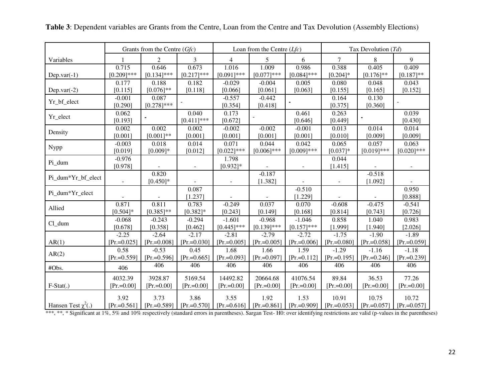|                         |                | Grants from the Centre $(Gfc)$ |                |                | Loan from the Centre $(Lfc)$ |                |                | Tax Devolution $(Td)$ |                |  |
|-------------------------|----------------|--------------------------------|----------------|----------------|------------------------------|----------------|----------------|-----------------------|----------------|--|
| Variables               |                | $\overline{2}$                 | 3              | $\overline{4}$ | 5                            | 6              | $\tau$         | 8                     | 9              |  |
|                         | 0.715          | 0.646                          | 0.673          | 1.016          | 1.009                        | 0.986          | 0.388          | 0.405                 | 0.409          |  |
| $Dep.var(-1)$           | $[0.209]$ ***  | $[0.134]$ ***                  | $[0.217]***$   | $[0.091]$ ***  | $[0.077]$ ***                | $[0.084]$ ***  | $[0.204]*$     | $[0.176]$ **          | $[0.187]$ **   |  |
|                         | 0.177          | 0.188                          | 0.182          | $-0.029$       | $-0.004$                     | 0.005          | 0.080          | 0.048                 | 0.043          |  |
| Dep.var $(-2)$          | [0.115]        | $[0.076]$ **                   | [0.118]        | [0.066]        | [0.061]                      | [0.063]        | [0.155]        | [0.165]               | [0.152]        |  |
| Yr_bf_elect             | $-0.001$       | 0.087                          |                | $-0.557$       | $-0.442$                     |                | 0.164          | 0.130                 |                |  |
|                         | [0.290]        | $[0.278]$ ***                  |                | [0.354]        | [0.418]                      |                | [0.375]        | [0.360]               |                |  |
| Yr_elect                | 0.062          |                                | 0.040          | 0.173          |                              | 0.461          | 0.263          |                       | 0.039          |  |
|                         | [0.193]        |                                | $[0.411]$ ***  | [0.672]        |                              | [0.646]        | [0.449]        |                       | [0.430]        |  |
| Density                 | 0.002          | 0.002                          | 0.002          | $-0.002$       | $-0.002$                     | $-0.001$       | 0.013          | 0.014                 | 0.014          |  |
|                         | [0.001]        | $[0.001]**$                    | [0.001]        | [0.001]        | [0.001]                      | [0.001]        | [0.010]        | [0.009]               | [0.009]        |  |
|                         | $-0.003$       | 0.018                          | 0.014          | 0.071          | 0.044                        | 0.042          | 0.065          | 0.057                 | 0.063          |  |
| Nypp                    | [0.019]        | $[0.009]*$                     | [0.012]        | $[0.022]$ ***  | $[0.006]$ ***                | $[0.009]$ ***  | $[0.037]*$     | $[0.019]***$          | $[0.020]$ ***  |  |
| Pi_dum                  | $-0.976$       |                                |                | 1.798          |                              |                | 0.044          |                       |                |  |
|                         | [0.978]        |                                |                | $[0.932]*$     |                              |                | [1.415]        |                       |                |  |
| Pi_dum*Yr_bf_elect      |                | 0.820                          |                |                | $-0.187$                     |                |                | $-0.518$              |                |  |
|                         |                | $[0.450]$ *                    |                |                | [1.382]                      |                |                | [1.092]               |                |  |
| Pi_dum*Yr_elect         |                |                                | 0.087          |                |                              | $-0.510$       |                |                       | 0.950          |  |
|                         |                |                                | [1.237]        |                |                              | [1.229]        |                |                       | [0.888]        |  |
| Allied                  | 0.871          | 0.811                          | 0.783          | $-0.249$       | 0.037                        | 0.070          | $-0.608$       | $-0.475$              | $-0.541$       |  |
|                         | $[0.504]*$     | $[0.385]$ **                   | $[0.382]*$     | [0.243]        | [0.149]                      | [0.168]        | [0.814]        | [0.743]               | [0.726]        |  |
| Cl_dum                  | $-0.068$       | $-0.243$                       | $-0.294$       | $-1.601$       | $-0.968$                     | $-1.046$       | 0.858          | 1.040                 | 0.983          |  |
|                         | [0.678]        | [0.358]                        | [0.462]        | $[0.445]$ ***  | $[0.139]$ ***                | $[0.157]$ ***  | [1.999]        | [1.940]               | [2.026]        |  |
|                         | $-2.25$        | $-2.64$                        | $-2.17$        | $-2.81$        | $-2.79$                      | $-2.72$        | $-1.75$        | $-1.90$               | $-1.89$        |  |
| AR(1)                   | $[Pr = 0.025]$ | $[Pr = 0.008]$                 | $[Pr = 0.030]$ | $[Pr = 0.005]$ | $[Pr = 0.005]$               | $[Pr = 0.006]$ | $[Pr = 0.080]$ | $[Pr = 0.058]$        | $[Pr = 0.059]$ |  |
| AR(2)                   | 0.58           | $-0.53$                        | 0.45           | 1.68           | 1.66                         | 1.59           | $-1.29$        | $-1.16$               | $-1.18$        |  |
|                         | $[Pr = 0.559]$ | $[Pr = 0.596]$                 | $[Pr = 0.665]$ | $[Pr = 0.093]$ | $[Pr = 0.097]$               | $[Pr = 0.112]$ | $[Pr:=0.195]$  | $[Pr = 0.246]$        | $[Pr = 0.239]$ |  |
| #Obs.                   | 406            | 406                            | 406            | 406            | 406                          | 406            | 406            | 406                   | 406            |  |
|                         | 4032.39        | 3928.87                        | 5169.54        | 14492.82       | 20664.68                     | 41076.54       | 89.84          | 36.53                 | 77.26          |  |
| $F-Stat(.)$             | $[Pr = 0.00]$  | $[Pr = 0.00]$                  | $[Pr = 0.00]$  | $[Pr = 0.00]$  | $[Pr = 0.00]$                | $[Pr = 0.00]$  | $[Pr = 0.00]$  | $[Pr = 0.00]$         | $[Pr = 0.00]$  |  |
|                         |                |                                |                |                |                              |                |                |                       |                |  |
|                         | 3.92           | 3.73                           | 3.86           | 3.55           | 1.92                         | 1.53           | 10.91          | 10.75                 | 10.72          |  |
| Hansen Test $\chi^2(.)$ | $[Pr = 0.561]$ | $[Pr = 0.589]$                 | $[Pr = 0.570]$ | $[Pr = 0.616]$ | $[Pr = 0.861]$               | $[Pr = 0.909]$ | $[Pr = 0.053]$ | $[Pr = 0.057]$        | $[Pr = 0.057]$ |  |

**Table 3**: Dependent variables are Grants from the Centre, Loan from the Centre and Tax Devolution (Assembly Elections)

\*\*\*, \*\*, \*Significant at 1%, 5% and 10% respectively (standard errors in parentheses). Sargan Test- H0: over identifying restrictions are valid (p-values in the parentheses)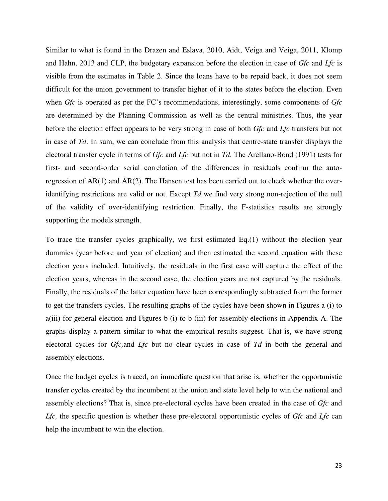Similar to what is found in the Drazen and Eslava, 2010, Aidt, Veiga and Veiga, 2011, Klomp and Hahn, 2013 and CLP, the budgetary expansion before the election in case of *Gfc* and *Lfc* is visible from the estimates in Table 2. Since the loans have to be repaid back, it does not seem difficult for the union government to transfer higher of it to the states before the election. Even when *Gfc* is operated as per the FC"s recommendations, interestingly, some components of *Gfc* are determined by the Planning Commission as well as the central ministries. Thus, the year before the election effect appears to be very strong in case of both *Gfc* and *Lfc* transfers but not in case of *Td*. In sum, we can conclude from this analysis that centre-state transfer displays the electoral transfer cycle in terms of *Gfc* and *Lfc* but not in *Td*. The Arellano-Bond (1991) tests for first- and second-order serial correlation of the differences in residuals confirm the autoregression of AR(1) and AR(2). The Hansen test has been carried out to check whether the overidentifying restrictions are valid or not. Except *Td* we find very strong non-rejection of the null of the validity of over-identifying restriction. Finally, the F-statistics results are strongly supporting the models strength.

To trace the transfer cycles graphically, we first estimated Eq.(1) without the election year dummies (year before and year of election) and then estimated the second equation with these election years included. Intuitively, the residuals in the first case will capture the effect of the election years, whereas in the second case, the election years are not captured by the residuals. Finally, the residuals of the latter equation have been correspondingly subtracted from the former to get the transfers cycles. The resulting graphs of the cycles have been shown in Figures a (i) to a(iii) for general election and Figures b (i) to b (iii) for assembly elections in Appendix A. The graphs display a pattern similar to what the empirical results suggest. That is, we have strong electoral cycles for *Gfc,*and *Lfc* but no clear cycles in case of *Td* in both the general and assembly elections.

Once the budget cycles is traced, an immediate question that arise is, whether the opportunistic transfer cycles created by the incumbent at the union and state level help to win the national and assembly elections? That is, since pre-electoral cycles have been created in the case of *Gfc* and *Lfc,* the specific question is whether these pre-electoral opportunistic cycles of *Gfc* and *Lfc* can help the incumbent to win the election.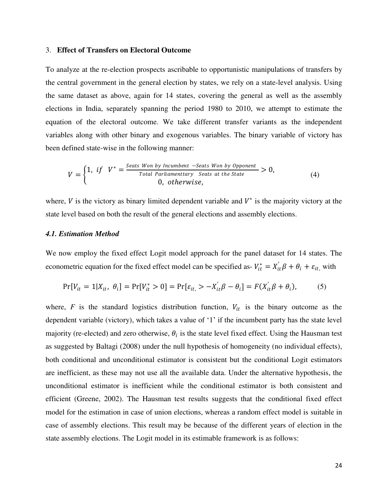#### 3. **Effect of Transfers on Electoral Outcome**

To analyze at the re-election prospects ascribable to opportunistic manipulations of transfers by the central government in the general election by states, we rely on a state-level analysis. Using the same dataset as above, again for 14 states, covering the general as well as the assembly elections in India, separately spanning the period 1980 to 2010, we attempt to estimate the equation of the electoral outcome. We take different transfer variants as the independent variables along with other binary and exogenous variables. The binary variable of victory has been defined state-wise in the following manner:

$$
V = \begin{cases} 1, & \text{if} \quad V^* = \frac{\text{Seats } \text{Won by Incumbent } - \text{Seats } \text{Won by Opponen}t}{\text{Total Parliamenttary } \text{ Seats at the State}} > 0, \\ 0, & \text{otherwise,} \end{cases} \tag{4}
$$

where,  $V$  is the victory as binary limited dependent variable and  $V^*$  is the majority victory at the state level based on both the result of the general elections and assembly elections.

#### *4.1. Estimation Method*

We now employ the fixed effect Logit model approach for the panel dataset for 14 states. The econometric equation for the fixed effect model can be specified as- $V_{it}^* = X_{it}^* \beta + \theta_i + \varepsilon_{it}$ , with

$$
Pr[V_{it} = 1 | X_{it}, \theta_i] = Pr[V_{it}^* > 0] = Pr[\varepsilon_{it}, -X_{it}'\beta - \theta_i] = F(X_{it}'\beta + \theta_i),
$$
 (5)

where,  $F$  is the standard logistics distribution function,  $V_{it}$  is the binary outcome as the dependent variable (victory), which takes a value of "1" if the incumbent party has the state level majority (re-elected) and zero otherwise,  $\theta_i$  is the state level fixed effect. Using the Hausman test as suggested by Baltagi (2008) under the null hypothesis of homogeneity (no individual effects), both conditional and unconditional estimator is consistent but the conditional Logit estimators are inefficient, as these may not use all the available data. Under the alternative hypothesis, the unconditional estimator is inefficient while the conditional estimator is both consistent and efficient (Greene, 2002). The Hausman test results suggests that the conditional fixed effect model for the estimation in case of union elections, whereas a random effect model is suitable in case of assembly elections. This result may be because of the different years of election in the state assembly elections. The Logit model in its estimable framework is as follows: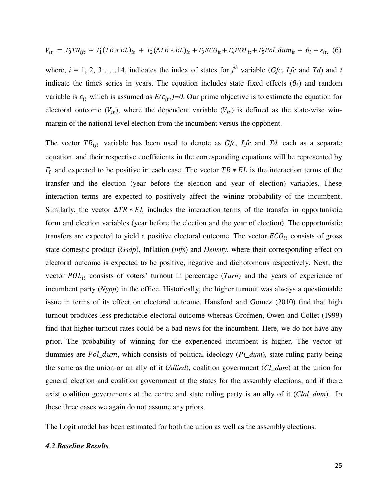$$
V_{it} = I_0TR_{ijt} + I_1(TR * EL)_{it} + I_2(\Delta TR * EL)_{it} + I_3ECO_{it} + I_4POL_{it} + I_5Pol\_dum_{it} + \theta_i + \varepsilon_{it}
$$
 (6)

where,  $i = 1, 2, 3, \ldots, 14$ , indicates the index of states for  $j<sup>th</sup>$  variable (*Gfc*, *Lfc* and *Td*) and *t* indicate the times series in years. The equation includes state fixed effects  $(\theta_i)$  and random variable is  $\varepsilon_{it}$  which is assumed as  $E(\varepsilon_{it})=0$ . Our prime objective is to estimate the equation for electoral outcome  $(V_{it})$ , where the dependent variable  $(V_{it})$  is defined as the state-wise winmargin of the national level election from the incumbent versus the opponent.

The vector  $TR_{ijt}$  variable has been used to denote as  $Gfc$ ,  $Lfc$  and  $Td$ , each as a separate equation, and their respective coefficients in the corresponding equations will be represented by  $T_0$  and expected to be positive in each case. The vector  $TR * EL$  is the interaction terms of the transfer and the election (year before the election and year of election) variables. These interaction terms are expected to positively affect the wining probability of the incumbent. Similarly, the vector  $\Delta TR * EL$  includes the interaction terms of the transfer in opportunistic form and election variables (year before the election and the year of election). The opportunistic transfers are expected to yield a positive electoral outcome. The vector  $ECO<sub>it</sub>$  consists of gross state domestic product (*Gsdp*), Inflation (*infs*) and *Density*, where their corresponding effect on electoral outcome is expected to be positive, negative and dichotomous respectively. Next, the vector  $POL_{it}$  consists of voters' turnout in percentage (*Turn*) and the years of experience of incumbent party (*Nypp*) in the office. Historically, the higher turnout was always a questionable issue in terms of its effect on electoral outcome. Hansford and Gomez (2010) find that high turnout produces less predictable electoral outcome whereas Grofmen, Owen and Collet (1999) find that higher turnout rates could be a bad news for the incumbent. Here, we do not have any prior. The probability of winning for the experienced incumbent is higher. The vector of dummies are *Pol\_dum*, which consists of political ideology (*Pi\_dum*), state ruling party being the same as the union or an ally of it (*Allied*), coalition government (*Cl\_dum*) at the union for general election and coalition government at the states for the assembly elections, and if there exist coalition governments at the centre and state ruling party is an ally of it (*Clal\_dum*). In these three cases we again do not assume any priors.

The Logit model has been estimated for both the union as well as the assembly elections.

#### *4.2 Baseline Results*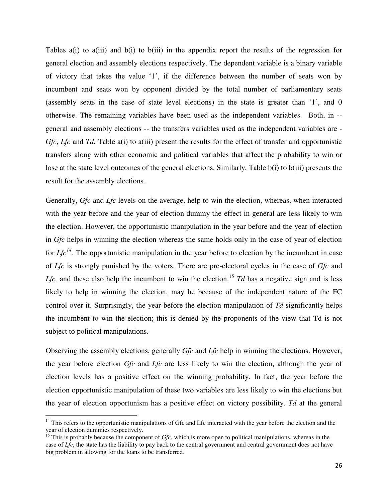Tables  $a(i)$  to  $a(iii)$  and  $b(i)$  to  $b(iii)$  in the appendix report the results of the regression for general election and assembly elections respectively. The dependent variable is a binary variable of victory that takes the value "1", if the difference between the number of seats won by incumbent and seats won by opponent divided by the total number of parliamentary seats (assembly seats in the case of state level elections) in the state is greater than  $1$ , and 0 otherwise. The remaining variables have been used as the independent variables. Both, in - general and assembly elections -- the transfers variables used as the independent variables are - *Gfc*, *Lfc* and *Td*. Table a(i) to a(iii) present the results for the effect of transfer and opportunistic transfers along with other economic and political variables that affect the probability to win or lose at the state level outcomes of the general elections. Similarly, Table b(i) to b(iii) presents the result for the assembly elections.

Generally, *Gfc* and *Lfc* levels on the average, help to win the election, whereas, when interacted with the year before and the year of election dummy the effect in general are less likely to win the election. However, the opportunistic manipulation in the year before and the year of election in *Gfc* helps in winning the election whereas the same holds only in the case of year of election for  $Lf c^{14}$ . The opportunistic manipulation in the year before to election by the incumbent in case of *Lfc* is strongly punished by the voters. There are pre-electoral cycles in the case of *Gfc* and *Lfc*, and these also help the incumbent to win the election.<sup>15</sup> *Td* has a negative sign and is less likely to help in winning the election, may be because of the independent nature of the FC control over it. Surprisingly, the year before the election manipulation of *Td* significantly helps the incumbent to win the election; this is denied by the proponents of the view that Td is not subject to political manipulations.

Observing the assembly elections, generally *Gfc* and *Lfc* help in winning the elections. However, the year before election *Gfc* and *Lfc* are less likely to win the election, although the year of election levels has a positive effect on the winning probability. In fact, the year before the election opportunistic manipulation of these two variables are less likely to win the elections but the year of election opportunism has a positive effect on victory possibility. *Td* at the general

 $\overline{a}$ 

 $14$  This refers to the opportunistic manipulations of Gfc and Lfc interacted with the year before the election and the year of election dummies respectively.

<sup>&</sup>lt;sup>15</sup> This is probably because the component of *Gfc*, which is more open to political manipulations, whereas in the case of *Lfc*, the state has the liability to pay back to the central government and central government does not have big problem in allowing for the loans to be transferred.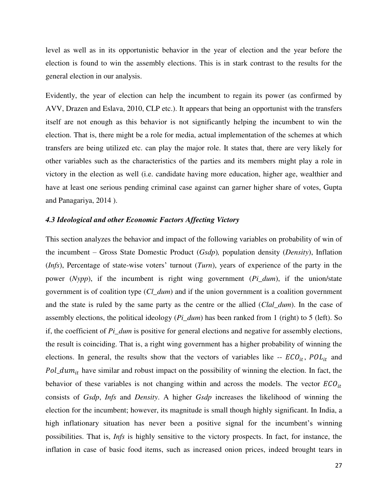level as well as in its opportunistic behavior in the year of election and the year before the election is found to win the assembly elections. This is in stark contrast to the results for the general election in our analysis.

Evidently, the year of election can help the incumbent to regain its power (as confirmed by AVV, Drazen and Eslava, 2010, CLP etc.). It appears that being an opportunist with the transfers itself are not enough as this behavior is not significantly helping the incumbent to win the election. That is, there might be a role for media, actual implementation of the schemes at which transfers are being utilized etc. can play the major role. It states that, there are very likely for other variables such as the characteristics of the parties and its members might play a role in victory in the election as well (i.e. candidate having more education, higher age, wealthier and have at least one serious pending criminal case against can garner higher share of votes, Gupta and Panagariya, 2014 ).

#### *4.3 Ideological and other Economic Factors Affecting Victory*

This section analyzes the behavior and impact of the following variables on probability of win of the incumbent – Gross State Domestic Product (*Gsdp*)*,* population density (*Density*), Inflation (*Infs*), Percentage of state-wise voters" turnout (*Turn*), years of experience of the party in the power (*Nypp*), if the incumbent is right wing government (*Pi\_dum*), if the union/state government is of coalition type (*Cl\_dum*) and if the union government is a coalition government and the state is ruled by the same party as the centre or the allied (*Clal\_dum*). In the case of assembly elections, the political ideology (*Pi\_dum*) has been ranked from 1 (right) to 5 (left). So if, the coefficient of *Pi\_dum* is positive for general elections and negative for assembly elections, the result is coinciding. That is, a right wing government has a higher probability of winning the elections. In general, the results show that the vectors of variables like --  $ECO_{it}$ ,  $POL_{it}$  and  $Pol\_dum_{it}$  have similar and robust impact on the possibility of winning the election. In fact, the behavior of these variables is not changing within and across the models. The vector  $ECO_{it}$ consists of *Gsdp*, *Infs* and *Density*. A higher *Gsdp* increases the likelihood of winning the election for the incumbent; however, its magnitude is small though highly significant. In India, a high inflationary situation has never been a positive signal for the incumbent's winning possibilities. That is, *Infs* is highly sensitive to the victory prospects. In fact, for instance, the inflation in case of basic food items, such as increased onion prices, indeed brought tears in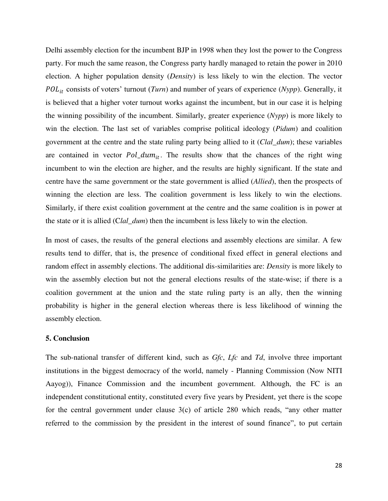Delhi assembly election for the incumbent BJP in 1998 when they lost the power to the Congress party. For much the same reason, the Congress party hardly managed to retain the power in 2010 election. A higher population density (*Density*) is less likely to win the election. The vector consists of voters" turnout (*Turn*) and number of years of experience (*Nypp*). Generally, it is believed that a higher voter turnout works against the incumbent, but in our case it is helping the winning possibility of the incumbent. Similarly, greater experience (*Nypp*) is more likely to win the election. The last set of variables comprise political ideology (*Pidum*) and coalition government at the centre and the state ruling party being allied to it (*Clal\_dum*); these variables are contained in vector  $Pol\_dum_{it}$ . The results show that the chances of the right wing incumbent to win the election are higher, and the results are highly significant. If the state and centre have the same government or the state government is allied (*Allied*), then the prospects of winning the election are less. The coalition government is less likely to win the elections. Similarly, if there exist coalition government at the centre and the same coalition is in power at the state or it is allied (C*lal\_dum*) then the incumbent is less likely to win the election.

In most of cases, the results of the general elections and assembly elections are similar. A few results tend to differ, that is, the presence of conditional fixed effect in general elections and random effect in assembly elections. The additional dis-similarities are: *Density* is more likely to win the assembly election but not the general elections results of the state-wise; if there is a coalition government at the union and the state ruling party is an ally, then the winning probability is higher in the general election whereas there is less likelihood of winning the assembly election.

#### **5. Conclusion**

The sub-national transfer of different kind, such as *Gfc*, *Lfc* and *Td*, involve three important institutions in the biggest democracy of the world, namely - Planning Commission (Now NITI Aayog)), Finance Commission and the incumbent government. Although, the FC is an independent constitutional entity, constituted every five years by President, yet there is the scope for the central government under clause 3(c) of article 280 which reads, "any other matter referred to the commission by the president in the interest of sound finance", to put certain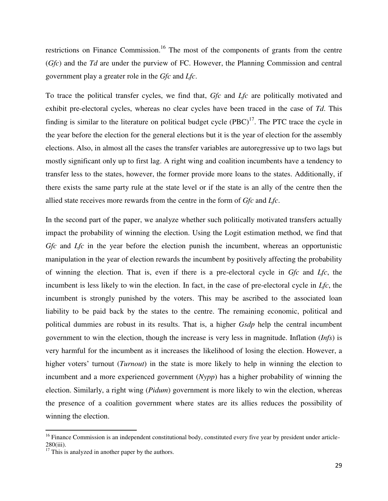restrictions on Finance Commission.<sup>16</sup> The most of the components of grants from the centre (*Gfc*) and the *Td* are under the purview of FC. However, the Planning Commission and central government play a greater role in the *Gfc* and *Lfc*.

To trace the political transfer cycles, we find that, *Gfc* and *Lfc* are politically motivated and exhibit pre-electoral cycles, whereas no clear cycles have been traced in the case of *Td*. This finding is similar to the literature on political budget cycle  $(PBC)^{17}$ . The PTC trace the cycle in the year before the election for the general elections but it is the year of election for the assembly elections. Also, in almost all the cases the transfer variables are autoregressive up to two lags but mostly significant only up to first lag. A right wing and coalition incumbents have a tendency to transfer less to the states, however, the former provide more loans to the states. Additionally, if there exists the same party rule at the state level or if the state is an ally of the centre then the allied state receives more rewards from the centre in the form of *Gfc* and *Lfc*.

In the second part of the paper, we analyze whether such politically motivated transfers actually impact the probability of winning the election. Using the Logit estimation method, we find that *Gfc* and *Lfc* in the year before the election punish the incumbent, whereas an opportunistic manipulation in the year of election rewards the incumbent by positively affecting the probability of winning the election. That is, even if there is a pre-electoral cycle in *Gfc* and *Lfc*, the incumbent is less likely to win the election. In fact, in the case of pre-electoral cycle in *Lfc*, the incumbent is strongly punished by the voters. This may be ascribed to the associated loan liability to be paid back by the states to the centre. The remaining economic, political and political dummies are robust in its results. That is, a higher *Gsdp* help the central incumbent government to win the election, though the increase is very less in magnitude. Inflation (*Infs*) is very harmful for the incumbent as it increases the likelihood of losing the election. However, a higher voters' turnout (*Turnout*) in the state is more likely to help in winning the election to incumbent and a more experienced government (*Nypp*) has a higher probability of winning the election. Similarly, a right wing (*Pidum*) government is more likely to win the election, whereas the presence of a coalition government where states are its allies reduces the possibility of winning the election.

 $\overline{\phantom{0}}$ 

 $16$  Finance Commission is an independent constitutional body, constituted every five year by president under article-280(iii).

 $\frac{17}{17}$  This is analyzed in another paper by the authors.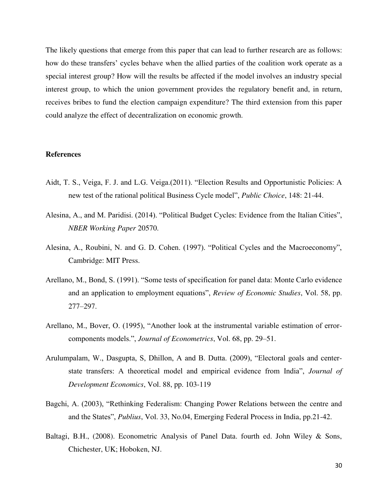The likely questions that emerge from this paper that can lead to further research are as follows: how do these transfers' cycles behave when the allied parties of the coalition work operate as a special interest group? How will the results be affected if the model involves an industry special interest group, to which the union government provides the regulatory benefit and, in return, receives bribes to fund the election campaign expenditure? The third extension from this paper could analyze the effect of decentralization on economic growth.

#### **References**

- Aidt, T. S., Veiga, F. J. and L.G. Veiga.(2011). "Election Results and Opportunistic Policies: A new test of the rational political Business Cycle model", *Public Choice*, 148: 21-44.
- Alesina, A., and M. Paridisi. (2014). "Political Budget Cycles: Evidence from the Italian Cities", *NBER Working Paper* 20570.
- Alesina, A., Roubini, N. and G. D. Cohen. (1997). "Political Cycles and the Macroeconomy", Cambridge: MIT Press.
- Arellano, M., Bond, S. (1991). "Some tests of specification for panel data: Monte Carlo evidence and an application to employment equations", *Review of Economic Studies*, Vol. 58, pp. 277–297.
- Arellano, M., Bover, O. (1995), "Another look at the instrumental variable estimation of errorcomponents models.", *Journal of Econometrics*, Vol. 68, pp. 29–51.
- Arulumpalam, W., Dasgupta, S, Dhillon, A and B. Dutta. (2009), "Electoral goals and centerstate transfers: A theoretical model and empirical evidence from India", *Journal of Development Economics*, Vol. 88, pp. 103-119
- Bagchi, A. (2003), "Rethinking Federalism: Changing Power Relations between the centre and and the States", *Publius*, Vol. 33, No.04, Emerging Federal Process in India, pp.21-42.
- Baltagi, B.H., (2008). Econometric Analysis of Panel Data. fourth ed. John Wiley & Sons, Chichester, UK; Hoboken, NJ.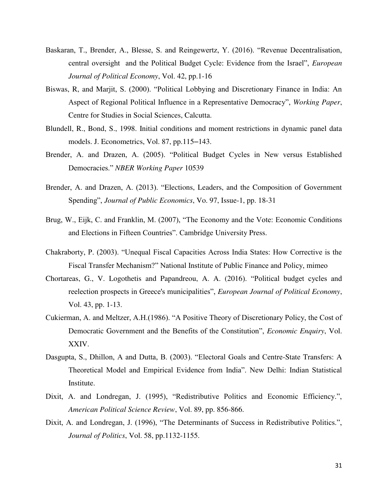- Baskaran, T., Brender, A., Blesse, S. and Reingewertz, Y. (2016). "Revenue Decentralisation, central oversight and the Political Budget Cycle: Evidence from the Israel", *European Journal of Political Economy*, Vol. 42, pp.1-16
- Biswas, R, and Marjit, S. (2000). "Political Lobbying and Discretionary Finance in India: An Aspect of Regional Political Influence in a Representative Democracy", *Working Paper*, Centre for Studies in Social Sciences, Calcutta.
- Blundell, R., Bond, S., 1998. Initial conditions and moment restrictions in dynamic panel data models. J. Econometrics, Vol. 87, pp.115–143.
- Brender, A. and Drazen, A. (2005). "Political Budget Cycles in New versus Established Democracies." *NBER Working Paper* 10539
- Brender, A. and Drazen, A. (2013). "Elections, Leaders, and the Composition of Government Spending", *Journal of Public Economics*, Vo. 97, Issue-1, pp. 18-31
- Brug, W., Eijk, C. and Franklin, M. (2007), "The Economy and the Vote: Economic Conditions and Elections in Fifteen Countries". Cambridge University Press.
- Chakraborty, P. (2003). "Unequal Fiscal Capacities Across India States: How Corrective is the Fiscal Transfer Mechanism?" National Institute of Public Finance and Policy, mimeo
- Chortareas, G., V. Logothetis and Papandreou, A. A. (2016). "Political budget cycles and reelection prospects in Greece's municipalities", *European Journal of Political Economy*, Vol. 43, pp. 1-13.
- Cukierman, A. and Meltzer, A.H.(1986). "A Positive Theory of Discretionary Policy, the Cost of Democratic Government and the Benefits of the Constitution", *Economic Enquiry*, Vol. XXIV.
- Dasgupta, S., Dhillon, A and Dutta, B. (2003). "Electoral Goals and Centre-State Transfers: A Theoretical Model and Empirical Evidence from India". New Delhi: Indian Statistical Institute.
- Dixit, A. and Londregan, J. (1995), "Redistributive Politics and Economic Efficiency.", *American Political Science Review*, Vol. 89, pp. 856-866.
- Dixit, A. and Londregan, J. (1996), "The Determinants of Success in Redistributive Politics.", *Journal of Politics*, Vol. 58, pp.1132-1155.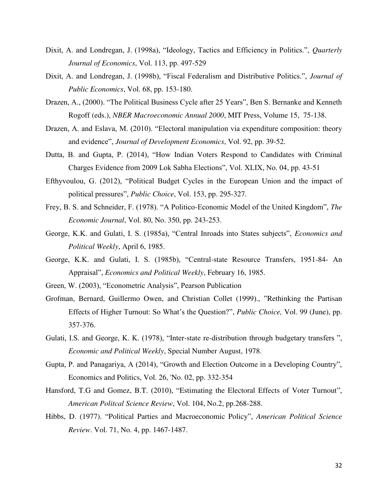- Dixit, A. and Londregan, J. (1998a), "Ideology, Tactics and Efficiency in Politics.", *Quarterly Journal of Economics*, Vol. 113, pp. 497-529
- Dixit, A. and Londregan, J. (1998b), "Fiscal Federalism and Distributive Politics.", *Journal of Public Economics*, Vol. 68, pp. 153-180.
- Drazen, A., (2000). "The Political Business Cycle after 25 Years", Ben S. Bernanke and Kenneth Rogoff (eds.), *NBER Macroeconomic Annual 2000*, MIT Press, Volume 15, 75-138.
- Drazen, A. and Eslava, M. (2010). "Electoral manipulation via expenditure composition: theory and evidence", *Journal of Development Economics*, Vol. 92, pp. 39-52.
- Dutta, B. and Gupta, P. (2014), "How Indian Voters Respond to Candidates with Criminal Charges Evidence from 2009 Lok Sabha Elections", Vol. XLIX, No. 04, pp. 43-51
- Efthyvoulou, G. (2012), "Political Budget Cycles in the European Union and the impact of political pressures", *Public Choice*, Vol. 153, pp. 295-327.
- Frey, B. S. and Schneider, F. (1978). "A Politico-Economic Model of the United Kingdom", *The Economic Journal*, Vol. 80, No. 350, pp. 243-253.
- George, K.K. and Gulati, I. S. (1985a), "Central Inroads into States subjects", *Economics and Political Weekly*, April 6, 1985.
- George, K.K. and Gulati, I. S. (1985b), "Central-state Resource Transfers, 1951-84- An Appraisal", *Economics and Political Weekly*, February 16, 1985.
- Green, W. (2003), "Econometric Analysis", Pearson Publication
- Grofman, Bernard, Guillermo Owen, and Christian Collet (1999)., "Rethinking the Partisan Effects of Higher Turnout: So What"s the Question?", *Public Choice,* Vol. 99 (June), pp. 357-376.
- Gulati, I.S. and George, K. K. (1978), "Inter-state re-distribution through budgetary transfers ", *Economic and Political Weekly*, Special Number August, 1978.
- Gupta, P. and Panagariya, A (2014), "Growth and Election Outcome in a Developing Country", Economics and Politics, Vol. 26, 'No. 02, pp. 332-354
- Hansford, T.G and Gomez, B.T. (2010), "Estimating the Electoral Effects of Voter Turnout", *American Politcal Science Review*, Vol. 104, No.2, pp.268-288.
- Hibbs, D. (1977). "Political Parties and Macroeconomic Policy", *American Political Science Review*. Vol. 71, No. 4, pp. 1467-1487.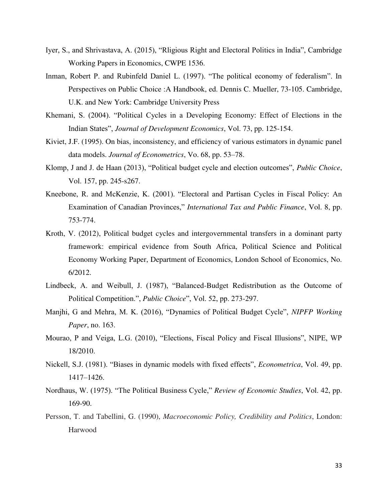- Iyer, S., and Shrivastava, A. (2015), "Rligious Right and Electoral Politics in India", Cambridge Working Papers in Economics, CWPE 1536.
- Inman, Robert P. and Rubinfeld Daniel L. (1997). "The political economy of federalism". In Perspectives on Public Choice :A Handbook, ed. Dennis C. Mueller, 73-105. Cambridge, U.K. and New York: Cambridge University Press
- Khemani, S. (2004). "Political Cycles in a Developing Economy: Effect of Elections in the Indian States", *Journal of Development Economics*, Vol. 73, pp. 125-154.
- Kiviet, J.F. (1995). On bias, inconsistency, and efficiency of various estimators in dynamic panel data models. *Journal of Econometrics*, Vo. 68, pp. 53–78.
- Klomp, J and J. de Haan (2013), "Political budget cycle and election outcomes", *Public Choice*, Vol. 157, pp. 245-s267.
- Kneebone, R. and McKenzie, K. (2001). "Electoral and Partisan Cycles in Fiscal Policy: An Examination of Canadian Provinces," *International Tax and Public Finance*, Vol. 8, pp. 753-774.
- Kroth, V. (2012), Political budget cycles and intergovernmental transfers in a dominant party framework: empirical evidence from South Africa, Political Science and Political Economy Working Paper, Department of Economics, London School of Economics, No. 6/2012.
- Lindbeck, A. and Weibull, J. (1987), "Balanced-Budget Redistribution as the Outcome of Political Competition.", *Public Choice*", Vol. 52, pp. 273-297.
- Manjhi, G and Mehra, M. K. (2016), "Dynamics of Political Budget Cycle", *NIPFP Working Paper*, no. 163.
- Mourao, P and Veiga, L.G. (2010), "Elections, Fiscal Policy and Fiscal Illusions", NIPE, WP 18/2010.
- Nickell, S.J. (1981). "Biases in dynamic models with fixed effects", *Econometrica*, Vol. 49, pp. 1417–1426.
- Nordhaus, W. (1975). "The Political Business Cycle," *Review of Economic Studies*, Vol. 42, pp. 169-90.
- Persson, T. and Tabellini, G. (1990), *Macroeconomic Policy, Credibility and Politics*, London: Harwood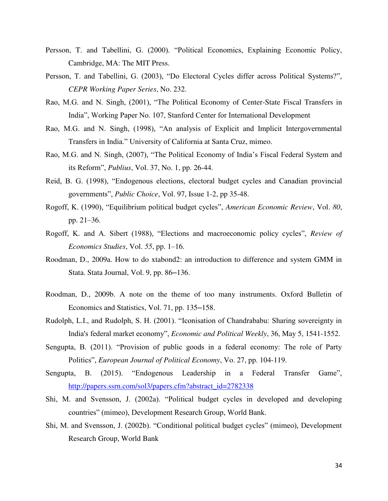- Persson, T. and Tabellini, G. (2000). "Political Economics, Explaining Economic Policy, Cambridge, MA: The MIT Press.
- Persson, T. and Tabellini, G. (2003), "Do Electoral Cycles differ across Political Systems?", *CEPR Working Paper Series*, No. 232.
- Rao, M.G. and N. Singh, (2001), "The Political Economy of Center-State Fiscal Transfers in India", Working Paper No. 107, Stanford Center for International Development
- Rao, M.G. and N. Singh, (1998), "An analysis of Explicit and Implicit Intergovernmental Transfers in India." University of California at Santa Cruz, mimeo.
- Rao, M.G. and N. Singh, (2007), "The Political Economy of India's Fiscal Federal System and its Reform", *Publius*, Vol. 37, No. 1, pp. 26-44.
- Reid, B. G. (1998), "Endogenous elections, electoral budget cycles and Canadian provincial governments", *Public Choice*, Vol. 97, Issue 1-2, pp 35-48.
- Rogoff, K. (1990), "Equilibrium political budget cycles", *American Economic Review*, Vol. *80*, pp. 21–36.
- Rogoff, K. and A. Sibert (1988), "Elections and macroeconomic policy cycles", *Review of Economics Studies*, Vol. *55*, pp. 1–16.
- Roodman, D., 2009a. How to do xtabond2: an introduction to difference and system GMM in Stata. Stata Journal, Vol. 9, pp. 86–136.
- Roodman, D., 2009b. A note on the theme of too many instruments. Oxford Bulletin of Economics and Statistics, Vol. 71, pp. 135–158.
- Rudolph, L.I., and Rudolph, S. H. (2001). "Iconisation of Chandrababu: Sharing sovereignty in India's federal market economy", *Economic and Political Weekly*, 36, May 5, 1541-1552.
- Sengupta, B. (2011). "Provision of public goods in a federal economy: The role of Party Politics", *European Journal of Political Economy*, Vo. 27, pp. 104-119.
- Sengupta, B. (2015). "Endogenous Leadership in a Federal Transfer Game", [http://papers.ssrn.com/sol3/papers.cfm?abstract\\_id=2782338](http://papers.ssrn.com/sol3/papers.cfm?abstract_id=2782338)
- Shi, M. and Svensson, J. (2002a). "Political budget cycles in developed and developing countries" (mimeo), Development Research Group, World Bank.
- Shi, M. and Svensson, J. (2002b). "Conditional political budget cycles" (mimeo), Development Research Group, World Bank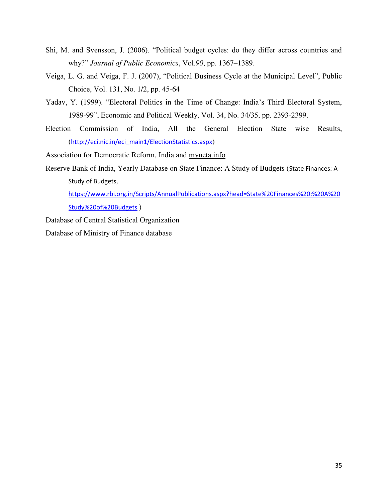- Shi, M. and Svensson, J. (2006). "Political budget cycles: do they differ across countries and why?" *Journal of Public Economics*, Vol.*90*, pp. 1367–1389.
- Veiga, L. G. and Veiga, F. J. (2007), "Political Business Cycle at the Municipal Level", Public Choice, Vol. 131, No. 1/2, pp. 45-64
- Yadav, Y. (1999). "Electoral Politics in the Time of Change: India's Third Electoral System, 1989-99", Economic and Political Weekly, Vol. 34, No. 34/35, pp. 2393-2399.
- Election Commission of India, All the General Election State wise Results, ([http://eci.nic.in/eci\\_main1/ElectionStatistics.aspx](http://eci.nic.in/eci_main1/ElectionStatistics.aspx))

Association for Democratic Reform, India and myneta.info

Reserve Bank of India, Yearly Database on State Finance: A Study of Budgets (State Finances: A Study of Budgets,

[https://www.rbi.org.in/Scripts/AnnualPublications.aspx?head=State%20Finances%20:%20A%20](https://www.rbi.org.in/Scripts/AnnualPublications.aspx?head=State%20Finances%20:%20A%20Study%20of%20Budgets) [Study%20of%20Budgets](https://www.rbi.org.in/Scripts/AnnualPublications.aspx?head=State%20Finances%20:%20A%20Study%20of%20Budgets) )

Database of Central Statistical Organization

Database of Ministry of Finance database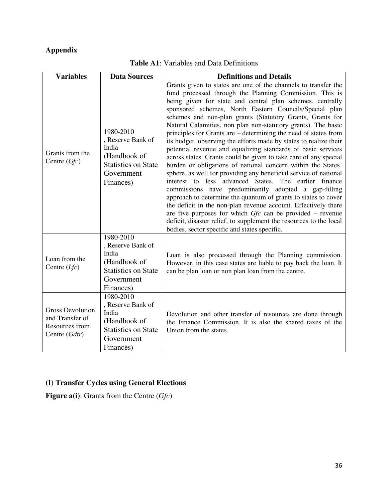# **Appendix**

| <b>Variables</b>                                                              | <b>Data Sources</b>                                                                                              | <b>Definitions and Details</b>                                                                                                                                                                                                                                                                                                                                                                                                                                                                                                                                                                                                                                                                                                                                                                                                                                                                                                                                                                                                                                                                                                                                                                                                           |
|-------------------------------------------------------------------------------|------------------------------------------------------------------------------------------------------------------|------------------------------------------------------------------------------------------------------------------------------------------------------------------------------------------------------------------------------------------------------------------------------------------------------------------------------------------------------------------------------------------------------------------------------------------------------------------------------------------------------------------------------------------------------------------------------------------------------------------------------------------------------------------------------------------------------------------------------------------------------------------------------------------------------------------------------------------------------------------------------------------------------------------------------------------------------------------------------------------------------------------------------------------------------------------------------------------------------------------------------------------------------------------------------------------------------------------------------------------|
| Grants from the<br>Centre $(Gfc)$                                             | 1980-2010<br>, Reserve Bank of<br>India<br>(Handbook of<br><b>Statistics on State</b><br>Government<br>Finances) | Grants given to states are one of the channels to transfer the<br>fund processed through the Planning Commission. This is<br>being given for state and central plan schemes, centrally<br>sponsored schemes, North Eastern Councils/Special plan<br>schemes and non-plan grants (Statutory Grants, Grants for<br>Natural Calamities, non plan non-statutory grants). The basic<br>principles for Grants are – determining the need of states from<br>its budget, observing the efforts made by states to realize their<br>potential revenue and equalizing standards of basic services<br>across states. Grants could be given to take care of any special<br>burden or obligations of national concern within the States'<br>sphere, as well for providing any beneficial service of national<br>interest to less advanced States. The earlier finance<br>commissions have predominantly adopted a gap-filling<br>approach to determine the quantum of grants to states to cover<br>the deficit in the non-plan revenue account. Effectively there<br>are five purposes for which $Gfc$ can be provided – revenue<br>deficit, disaster relief, to supplement the resources to the local<br>bodies, sector specific and states specific. |
| Loan from the<br>Centre $(Lfc)$                                               | 1980-2010<br>, Reserve Bank of<br>India<br>(Handbook of<br><b>Statistics on State</b><br>Government<br>Finances) | Loan is also processed through the Planning commission.<br>However, in this case states are liable to pay back the loan. It<br>can be plan loan or non plan loan from the centre.                                                                                                                                                                                                                                                                                                                                                                                                                                                                                                                                                                                                                                                                                                                                                                                                                                                                                                                                                                                                                                                        |
| <b>Gross Devolution</b><br>and Transfer of<br>Resources from<br>Centre (Gdtr) | 1980-2010<br>, Reserve Bank of<br>India<br>(Handbook of<br><b>Statistics on State</b><br>Government<br>Finances) | Devolution and other transfer of resources are done through<br>the Finance Commission. It is also the shared taxes of the<br>Union from the states.                                                                                                                                                                                                                                                                                                                                                                                                                                                                                                                                                                                                                                                                                                                                                                                                                                                                                                                                                                                                                                                                                      |

### **Table A1**: Variables and Data Definitions

# **(I) Transfer Cycles using General Elections**

**Figure a(i)**: Grants from the Centre (*Gfc*)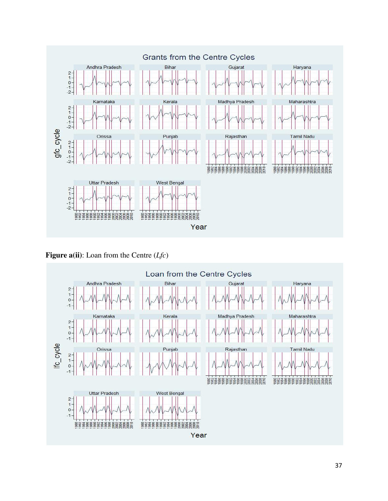

**Figure a(ii)**: Loan from the Centre (*Lfc*)

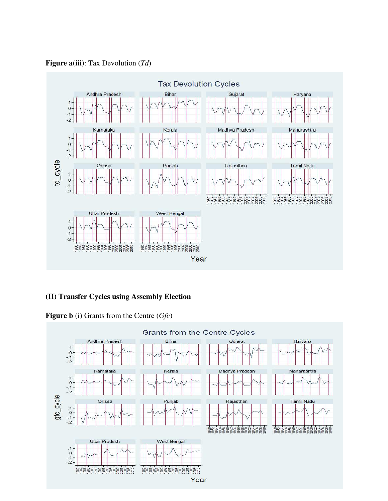**Figure a(iii)**: Tax Devolution (*Td*)



## **(II) Transfer Cycles using Assembly Election**

**Figure b** (i) Grants from the Centre (*Gfc*)

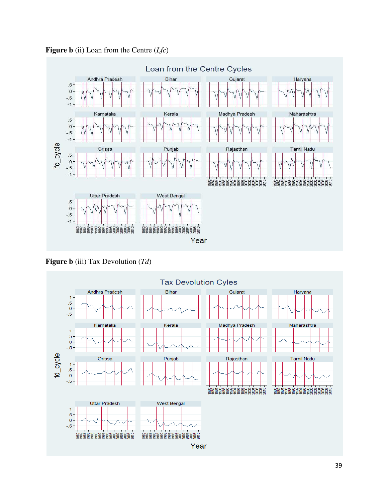



**Figure b** (iii) Tax Devolution (*Td*)

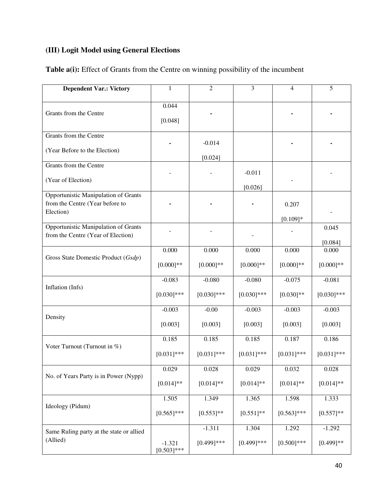# **(III) Logit Model using General Elections**

| <b>Dependent Var.: Victory</b>               | 1                        | $\overline{2}$ | 3             | $\overline{4}$ | 5             |
|----------------------------------------------|--------------------------|----------------|---------------|----------------|---------------|
|                                              |                          |                |               |                |               |
| Grants from the Centre                       | 0.044                    |                |               |                |               |
|                                              | [0.048]                  |                |               |                |               |
| Grants from the Centre                       |                          |                |               |                |               |
|                                              |                          | $-0.014$       |               |                |               |
| (Year Before to the Election)                |                          | [0.024]        |               |                |               |
| Grants from the Centre                       |                          |                |               |                |               |
| (Year of Election)                           |                          |                | $-0.011$      |                |               |
|                                              |                          |                | [0.026]       |                |               |
| Opportunistic Manipulation of Grants         |                          |                |               |                |               |
| from the Centre (Year before to<br>Election) |                          |                |               | 0.207          |               |
|                                              |                          |                |               | $[0.109]*$     |               |
| <b>Opportunistic Manipulation of Grants</b>  |                          |                |               |                | 0.045         |
| from the Centre (Year of Election)           |                          |                |               |                | [0.084]       |
|                                              | 0.000                    | 0.000          | 0.000         | 0.000          | 0.000         |
| Gross State Domestic Product (Gsdp)          | $[0.000]$ **             | $[0.000]$ **   | $[0.000]$ **  | $[0.000]**$    | $[0.000]**$   |
|                                              | $-0.083$                 | $-0.080$       | $-0.080$      | $-0.075$       | $-0.081$      |
| Inflation (Infs)                             | $[0.030]$ ***            | $[0.030]$ ***  | $[0.030]$ *** | $[0.030]$ **   | $[0.030]$ *** |
|                                              | $-0.003$                 | $-0.00$        | $-0.003$      | $-0.003$       | $-0.003$      |
| Density                                      | [0.003]                  | [0.003]        | [0.003]       | [0.003]        | [0.003]       |
|                                              | 0.185                    | 0.185          | 0.185         | 0.187          | 0.186         |
| Voter Turnout (Turnout in %)                 | $[0.031]$ ***            | $[0.031]$ ***  | $[0.031]$ *** | $[0.031]$ ***  | $[0.031]$ *** |
|                                              | 0.029                    | 0.028          | 0.029         | 0.032          | 0.028         |
| No. of Years Party is in Power (Nypp)        | $[0.014]$ **             | $[0.014]$ **   | $[0.014]$ **  | $[0.014]$ **   | $[0.014]$ **  |
|                                              | 1.505                    | 1.349          | 1.365         | 1.598          | 1.333         |
| Ideology (Pidum)                             | $[0.565]$ ***            | $[0.553]*$     | $[0.551]$ **  | $[0.563]$ ***  | $[0.557]**$   |
| Same Ruling party at the state or allied     |                          | $-1.311$       | 1.304         | 1.292          | $-1.292$      |
| (Allied)                                     | $-1.321$<br>$[0.503]***$ | $[0.499]$ ***  | $[0.499]$ *** | $[0.500]$ ***  | $[0.499]$ **  |

# **Table a(i):** Effect of Grants from the Centre on winning possibility of the incumbent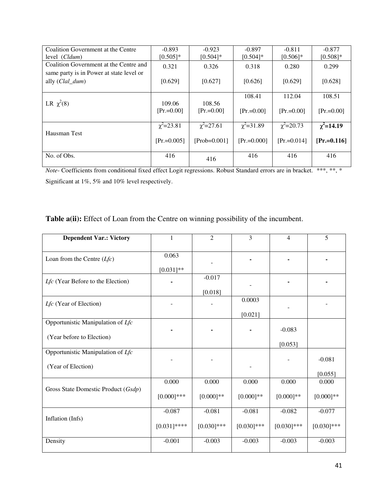| Coalition Government at the Centre       | $-0.893$        | $-0.923$        | $-0.897$         | $-0.811$        | $-0.877$        |
|------------------------------------------|-----------------|-----------------|------------------|-----------------|-----------------|
| level (Cldum)                            | $[0.505]$ *     | $[0.504]$ *     | $[0.504]$ *      | $[0.506]$ *     | $[0.508]$ *     |
| Coalition Government at the Centre and   | 0.321           | 0.326           | 0.318            | 0.280           | 0.299           |
| same party is in Power at state level or |                 |                 |                  |                 |                 |
| ally (Clal_dum)                          | [0.629]         | [0.627]         | [0.626]          | [0.629]         | [0.628]         |
|                                          |                 |                 |                  |                 |                 |
|                                          |                 |                 | 108.41           | 112.04          | 108.51          |
| LR $\chi^2(8)$                           | 109.06          | 108.56          |                  |                 |                 |
|                                          | $[Pr = 0.00]$   | $[Pr = 0.00]$   | $[Pr = 0.00]$    | $[Pr = 0.00]$   | $[Pr = 0.00]$   |
|                                          |                 |                 |                  |                 |                 |
|                                          | $\chi^2$ =23.81 | $\chi^2$ =27.61 | $\chi^2 = 31.89$ | $\chi^2$ =20.73 | $\chi^2$ =14.19 |
| Hausman Test                             |                 |                 |                  |                 |                 |
|                                          | $[Pr = 0.005]$  | $[Prob=0.001]$  | $[Pr = 0.000]$   | $[Pr = 0.014]$  | $[Pr = 0.116]$  |
|                                          |                 |                 |                  |                 |                 |
| No. of Obs.                              | 416             | 416             | 416              | 416             | 416             |
|                                          |                 |                 |                  |                 |                 |

*Note-* Coefficients from conditional fixed effect Logit regressions. Robust Standard errors are in bracket. \*\*\*, \*\*, \* Significant at 1%, 5% and 10% level respectively.

### **Table a(ii):** Effect of Loan from the Centre on winning possibility of the incumbent.

| <b>Dependent Var.: Victory</b>                                 | 1                          | $\overline{2}$            | $\overline{3}$            | $\overline{4}$            | 5                         |
|----------------------------------------------------------------|----------------------------|---------------------------|---------------------------|---------------------------|---------------------------|
| Loan from the Centre $(Lfc)$                                   | 0.063<br>$[0.031]**$       |                           |                           |                           |                           |
| Lfc (Year Before to the Election)                              |                            | $-0.017$<br>[0.018]       |                           |                           |                           |
| Lfc (Year of Election)                                         |                            |                           | 0.0003<br>[0.021]         |                           |                           |
| Opportunistic Manipulation of Lfc<br>(Year before to Election) |                            |                           |                           | $-0.083$                  |                           |
| Opportunistic Manipulation of Lfc<br>(Year of Election)        |                            |                           |                           | [0.053]                   | $-0.081$                  |
| Gross State Domestic Product (Gsdp)                            | 0.000                      | 0.000                     | 0.000                     | 0.000                     | [0.055]<br>0.000          |
|                                                                | $[0.000]$ ***              | $[0.000]**$               | $[0.000]$ **              | $[0.000]$ **              | $[0.000]$ **              |
| Inflation (Infs)                                               | $-0.087$<br>$[0.031]$ **** | $-0.081$<br>$[0.030]$ *** | $-0.081$<br>$[0.030]$ *** | $-0.082$<br>$[0.030]$ *** | $-0.077$<br>$[0.030]$ *** |
| Density                                                        | $-0.001$                   | $-0.003$                  | $-0.003$                  | $-0.003$                  | $-0.003$                  |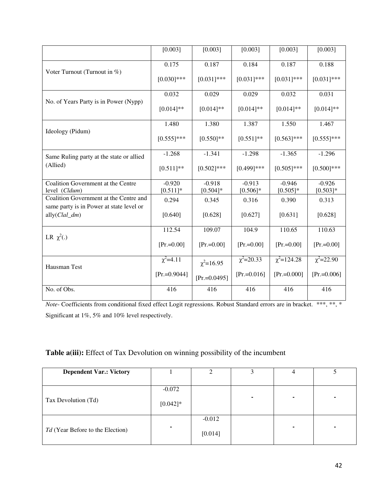|                                                                                    | [0.003]         | [0.003]         | [0.003]         | [0.003]          | [0.003]          |
|------------------------------------------------------------------------------------|-----------------|-----------------|-----------------|------------------|------------------|
|                                                                                    | 0.175           | 0.187           | 0.184           | 0.187            | 0.188            |
| Voter Turnout (Turnout in %)                                                       | $[0.030]$ ***   | $[0.031]***$    | $[0.031]***$    | $[0.031]***$     | $[0.031]$ ***    |
|                                                                                    | 0.032           | 0.029           | 0.029           | 0.032            | 0.031            |
| No. of Years Party is in Power (Nypp)                                              | $[0.014]$ **    | $[0.014]$ **    | $[0.014]$ **    | $[0.014]$ **     | $[0.014]$ **     |
|                                                                                    | 1.480           | 1.380           | 1.387           | 1.550            | 1.467            |
| Ideology (Pidum)                                                                   | $[0.555]$ ***   | $[0.550]$ **    | $[0.551]$ **    | $[0.563]$ ***    | $[0.555]$ ***    |
| Same Ruling party at the state or allied                                           | $-1.268$        | $-1.341$        | $-1.298$        | $-1.365$         | $-1.296$         |
| (Allied)                                                                           | $[0.511]$ **    | $[0.502]$ ***   | $[0.499]$ ***   | $[0.505]$ ***    | $[0.500]$ ***    |
| Coalition Government at the Centre                                                 | $-0.920$        | $-0.918$        | $-0.913$        | $-0.946$         | $-0.926$         |
| level (Cldum)                                                                      | $[0.511]*$      | $[0.504]*$      | $[0.506]*$      | $[0.505]*$       | $[0.503]*$       |
| Coalition Government at the Centre and<br>same party is in Power at state level or | 0.294           | 0.345           | 0.316           | 0.390            | 0.313            |
| ally $(Clal\_dm)$                                                                  | [0.640]         | [0.628]         | [0.627]         | [0.631]          | [0.628]          |
|                                                                                    | 112.54          | 109.07          | 104.9           | 110.65           | 110.63           |
| LR $\chi^2(.)$                                                                     | $[Pr = 0.00]$   | $[Pr = 0.00]$   | $[Pr = 0.00]$   | $[Pr = 0.00]$    | $[Pr = 0.00]$    |
| Hausman Test                                                                       | $\chi^2$ =4.11  | $\chi^2$ =16.95 | $\chi^2$ =20.33 | $\chi^2$ =124.28 | $\chi^2 = 22.90$ |
|                                                                                    | $[Pr = 0.9044]$ | $[Pr = 0.0495]$ | $[Pr = 0.016]$  | $[Pr = 0.000]$   | $[Pr = 0.006]$   |
| No. of Obs.                                                                        | 416             | 416             | 416             | 416              | 416              |

*Note*- Coefficients from conditional fixed effect Logit regressions. Robust Standard errors are in bracket. \*\*\*, \*\*, \* Significant at 1%, 5% and 10% level respectively.

# **Table a(iii):** Effect of Tax Devolution on winning possibility of the incumbent

| <b>Dependent Var.: Victory</b>          |             |                     |  |  |
|-----------------------------------------|-------------|---------------------|--|--|
|                                         |             |                     |  |  |
|                                         | $-0.072$    |                     |  |  |
| Tax Devolution (Td)                     | $[0.042]$ * |                     |  |  |
| <i>Td</i> (Year Before to the Election) |             | $-0.012$<br>[0.014] |  |  |
|                                         |             |                     |  |  |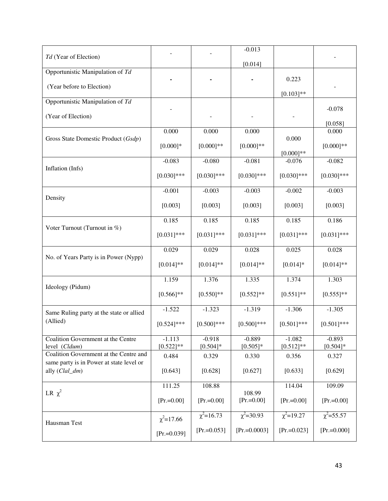|                                                            |                 |                 | $-0.013$        |                 |                 |
|------------------------------------------------------------|-----------------|-----------------|-----------------|-----------------|-----------------|
| Td (Year of Election)                                      |                 |                 |                 |                 |                 |
| Opportunistic Manipulation of Td                           |                 |                 | [0.014]         |                 |                 |
|                                                            |                 |                 |                 | 0.223           |                 |
| (Year before to Election)                                  |                 |                 |                 |                 |                 |
|                                                            |                 |                 |                 | $[0.103]**$     |                 |
| Opportunistic Manipulation of Td                           |                 |                 |                 |                 | $-0.078$        |
| (Year of Election)                                         |                 |                 |                 |                 |                 |
|                                                            |                 |                 |                 |                 | [0.058]         |
| Gross State Domestic Product (Gsdp)                        | 0.000           | 0.000           | 0.000           | 0.000           | 0.000           |
|                                                            | $[0.000]*$      | $[0.000]$ **    | $[0.000]$ **    |                 | $[0.000]**$     |
|                                                            |                 |                 |                 | $[0.000]$ **    |                 |
|                                                            | $-0.083$        | $-0.080$        | $-0.081$        | $-0.076$        | $-0.082$        |
| Inflation (Infs)                                           | $[0.030]$ ***   | $[0.030]$ ***   | $[0.030]$ ***   | $[0.030]$ ***   | $[0.030]$ ***   |
|                                                            | $-0.001$        | $-0.003$        | $-0.003$        | $-0.002$        | $-0.003$        |
| Density                                                    |                 |                 |                 |                 |                 |
|                                                            | [0.003]         | [0.003]         | [0.003]         | [0.003]         | [0.003]         |
|                                                            |                 |                 |                 |                 |                 |
| Voter Turnout (Turnout in %)                               | 0.185           | 0.185           | 0.185           | 0.185           | 0.186           |
|                                                            | $[0.031]$ ***   | $[0.031]$ ***   | $[0.031]***$    | $[0.031]$ ***   | $[0.031]$ ***   |
|                                                            |                 |                 |                 |                 |                 |
|                                                            | 0.029           | 0.029           | 0.028           | 0.025           | 0.028           |
| No. of Years Party is in Power (Nypp)                      | $[0.014]$ **    | $[0.014]$ **    | $[0.014]$ **    | $[0.014]*$      | $[0.014]$ **    |
|                                                            |                 |                 |                 |                 |                 |
|                                                            | 1.159           | 1.376           | 1.335           | 1.374           | 1.303           |
| Ideology (Pidum)                                           | $[0.566]$ **    | $[0.550]$ **    | $[0.552]$ **    | $[0.551]$ **    | $[0.555]$ **    |
|                                                            |                 |                 |                 |                 |                 |
| Same Ruling party at the state or allied                   | $-1.522$        | $-1.323$        | $-1.319$        | $-1.306$        | $-1.305$        |
| (Allied)                                                   | $[0.524]$ ***   | $[0.500]$ ***   | $[0.500]$ ***   | $[0.501]$ ***   | $[0.501]$ ***   |
|                                                            |                 |                 |                 |                 |                 |
| Coalition Government at the Centre                         | $-1.113$        | $-0.918$        | $-0.889$        | $-1.082$        | $-0.893$        |
| level (Cldum)                                              | $[0.522]$ **    | $[0.504]*$      | $[0.505]*$      | $[0.512]$ **    | $[0.504]*$      |
| Coalition Government at the Centre and                     | 0.484           | 0.329           | 0.330           | 0.356           | 0.327           |
| same party is in Power at state level or<br>ally (Clal_dm) | [0.643]         | [0.628]         | [0.627]         | [0.633]         | [0.629]         |
|                                                            |                 |                 |                 |                 |                 |
|                                                            | 111.25          | 108.88          |                 | 114.04          | 109.09          |
| LR $\chi^2$                                                |                 |                 | 108.99          |                 |                 |
|                                                            | $[Pr = 0.00]$   | $[Pr = 0.00]$   | $[Pr = 0.00]$   | $[Pr = 0.00]$   | $[Pr = 0.00]$   |
|                                                            | $\chi^2$ =17.66 | $\chi^2$ =16.73 | $\chi^2$ =30.93 | $\chi^2$ =19.27 | $\chi^2$ =55.57 |
| Hausman Test                                               |                 |                 |                 |                 |                 |
|                                                            | $[Pr = 0.039]$  | $[Pr = 0.053]$  | $[Pr = 0.0003]$ | $[Pr = 0.023]$  | $[Pr = 0.000]$  |
|                                                            |                 |                 |                 |                 |                 |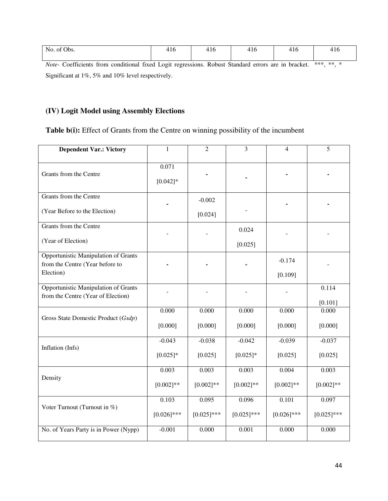| No. of Obs.                                                                                         | 416 | 416 | 416 | 416 | 416      |
|-----------------------------------------------------------------------------------------------------|-----|-----|-----|-----|----------|
|                                                                                                     |     |     |     |     |          |
| Note- Coefficients from conditional fixed Logit regressions. Robust Standard errors are in bracket. |     |     |     |     | *** ** * |

Significant at 1%, 5% and 10% level respectively.

# **(IV) Logit Model using Assembly Elections**

# **Table b(i):** Effect of Grants from the Centre on winning possibility of the incumbent

| <b>Dependent Var.: Victory</b>                                             | $\mathbf{1}$         | $\overline{2}$      | 3             | $\overline{4}$ | 5             |
|----------------------------------------------------------------------------|----------------------|---------------------|---------------|----------------|---------------|
| Grants from the Centre                                                     | 0.071<br>$[0.042]$ * |                     |               |                |               |
| Grants from the Centre<br>(Year Before to the Election)                    |                      | $-0.002$<br>[0.024] |               |                |               |
| Grants from the Centre                                                     |                      |                     | 0.024         |                |               |
| (Year of Election)                                                         |                      |                     | [0.025]       |                |               |
| Opportunistic Manipulation of Grants<br>from the Centre (Year before to    |                      |                     |               | $-0.174$       |               |
| Election)                                                                  |                      |                     |               | [0.109]        |               |
| Opportunistic Manipulation of Grants<br>from the Centre (Year of Election) |                      |                     |               |                | 0.114         |
|                                                                            |                      |                     |               |                | [0.101]       |
| Gross State Domestic Product (Gsdp)                                        | 0.000                | 0.000               | 0.000         | 0.000          | 0.000         |
|                                                                            | [0.000]              | [0.000]             | [0.000]       | [0.000]        | [0.000]       |
|                                                                            | $-0.043$             | $-0.038$            | $-0.042$      | $-0.039$       | $-0.037$      |
| Inflation (Infs)                                                           | $[0.025]$ *          | [0.025]             | $[0.025]*$    | [0.025]        | [0.025]       |
| Density                                                                    | 0.003                | 0.003               | 0.003         | 0.004          | 0.003         |
|                                                                            | $[0.002]$ **         | $[0.002]$ **        | $[0.002]$ **  | $[0.002]$ **   | $[0.002]**$   |
| Voter Turnout (Turnout in %)                                               | 0.103                | 0.095               | 0.096         | 0.101          | 0.097         |
|                                                                            | $[0.026]$ ***        | $[0.025]$ ***       | $[0.025]$ *** | $[0.026]$ ***  | $[0.025]$ *** |
| No. of Years Party is in Power (Nypp)                                      | $-0.001$             | 0.000               | 0.001         | 0.000          | 0.000         |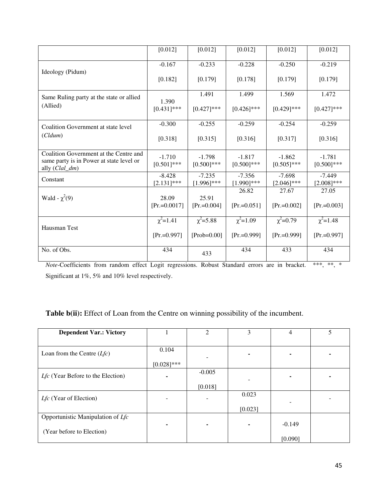|                                                                                    | [0.012]                   | [0.012]                   | [0.012]                   | [0.012]                   | [0.012]                   |
|------------------------------------------------------------------------------------|---------------------------|---------------------------|---------------------------|---------------------------|---------------------------|
| Ideology (Pidum)                                                                   | $-0.167$                  | $-0.233$                  | $-0.228$                  | $-0.250$                  | $-0.219$                  |
|                                                                                    | [0.182]                   | [0.179]                   | [0.178]                   | [0.179]                   | [0.179]                   |
| Same Ruling party at the state or allied                                           | 1.390                     | 1.491                     | 1.499                     | 1.569                     | 1.472                     |
| (Allied)                                                                           | $[0.431]$ ***             | $[0.427]$ ***             | $[0.426]$ ***             | $[0.429]$ ***             | $[0.427]$ ***             |
| Coalition Government at state level                                                | $-0.300$                  | $-0.255$                  | $-0.259$                  | $-0.254$                  | $-0.259$                  |
| (Cldum)                                                                            | [0.318]                   | [0.315]                   | [0.316]                   | [0.317]                   | [0.316]                   |
| Coalition Government at the Centre and<br>same party is in Power at state level or | $-1.710$                  | $-1.798$                  | $-1.817$                  | $-1.862$                  | $-1.781$                  |
| ally (Clal_dm)                                                                     | $[0.501]$ ***             | $[0.500]$ ***             | $[0.500]$ ***             | $[0.505]$ ***             | $[0.500]$ ***             |
| Constant                                                                           | $-8.428$<br>$[2.131]$ *** | $-7.235$<br>$[1.996]$ *** | $-7.356$<br>$[1.990]$ *** | $-7.698$<br>$[2.046]$ *** | $-7.449$<br>$[2.008]$ *** |
| Wald - $\chi^2(9)$                                                                 | 28.09                     | 25.91                     | 26.82                     | 27.67                     | 27.05                     |
|                                                                                    | $[Pr = 0.0017]$           | $[Pr = 0.004]$            | $[Pr = 0.051]$            | $[Pr = 0.002]$            | $[Pr = 0.003]$            |
| Hausman Test                                                                       | $\chi^2 = 1.41$           | $\chi^2 = 5.88$           | $\chi^2$ =1.09            | $\chi^2 = 0.79$           | $\chi^2 = 1.48$           |
|                                                                                    | $[Pr = 0.997]$            | $[Prob=0.00]$             | $[Pr = 0.999]$            | $[Pr = 0.999]$            | $[Pr = 0.997]$            |
| No. of Obs.                                                                        | 434                       | 433                       | 434                       | 433                       | 434                       |

*Note-Coefficients from random effect Logit regressions. Robust Standard errors are in bracket. \*\*\*, \*\*, \** Significant at 1%, 5% and 10% level respectively.

Table b(ii): Effect of Loan from the Centre on winning possibility of the incumbent.

| <b>Dependent Var.: Victory</b>           |               | 2        | 3       | 4        | 5 |
|------------------------------------------|---------------|----------|---------|----------|---|
|                                          |               |          |         |          |   |
| Loan from the Centre $(Lfc)$             | 0.104         |          | ۰       | ٠        |   |
|                                          | $[0.028]$ *** |          |         |          |   |
| <i>Lfc</i> (Year Before to the Election) |               | $-0.005$ |         |          |   |
|                                          |               |          |         |          |   |
|                                          |               | [0.018]  |         |          |   |
| <i>Lfc</i> (Year of Election)            |               |          | 0.023   |          |   |
|                                          |               |          | [0.023] |          |   |
| Opportunistic Manipulation of Lfc        |               |          |         |          |   |
|                                          |               | ٠        | ۰       | $-0.149$ |   |
| (Year before to Election)                |               |          |         |          |   |
|                                          |               |          |         | [0.090]  |   |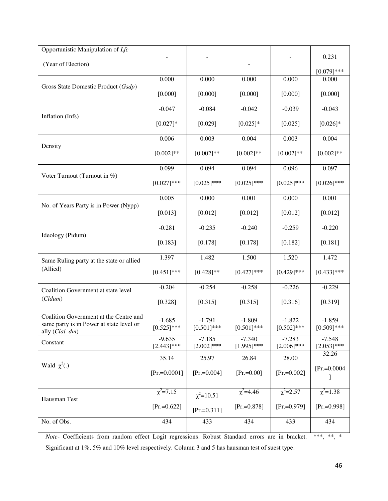| Opportunistic Manipulation of Lfc                                                                    |                           |                           |                           |                           |                           |
|------------------------------------------------------------------------------------------------------|---------------------------|---------------------------|---------------------------|---------------------------|---------------------------|
| (Year of Election)                                                                                   |                           |                           |                           |                           | 0.231                     |
|                                                                                                      | 0.000                     | 0.000                     | 0.000                     | 0.000                     | $[0.079]$ ***<br>0.000    |
| Gross State Domestic Product (Gsdp)                                                                  |                           |                           |                           |                           |                           |
|                                                                                                      | [0.000]                   | [0.000]                   | [0.000]                   | [0.000]                   | [0.000]                   |
|                                                                                                      | $-0.047$                  | $-0.084$                  | $-0.042$                  | $-0.039$                  | $-0.043$                  |
| Inflation (Infs)                                                                                     | $[0.027]*$                | [0.029]                   | $[0.025]$ *               | [0.025]                   | $[0.026]$ *               |
|                                                                                                      | 0.006                     | 0.003                     | 0.004                     | 0.003                     | 0.004                     |
| Density                                                                                              | $[0.002]**$               | $[0.002]**$               | $[0.002]**$               | $[0.002]**$               | $[0.002]**$               |
|                                                                                                      | 0.099                     | 0.094                     | 0.094                     | 0.096                     | 0.097                     |
| Voter Turnout (Turnout in %)                                                                         | $[0.027]***$              | $[0.025]$ ***             | $[0.025]$ ***             | $[0.025]$ ***             | $[0.026]$ ***             |
|                                                                                                      | 0.005                     | 0.000                     | 0.001                     | 0.000                     | 0.001                     |
| No. of Years Party is in Power (Nypp)                                                                | [0.013]                   | [0.012]                   | [0.012]                   | [0.012]                   | [0.012]                   |
| Ideology (Pidum)                                                                                     | $-0.281$                  | $-0.235$                  | $-0.240$                  | $-0.259$                  | $-0.220$                  |
|                                                                                                      | [0.183]                   | [0.178]                   | [0.178]                   | [0.182]                   | [0.181]                   |
| Same Ruling party at the state or allied                                                             | 1.397                     | 1.482                     | 1.500                     | 1.520                     | 1.472                     |
| (Allied)                                                                                             | $[0.451]$ ***             | $[0.428]$ **              | $[0.427]$ ***             | $[0.429]$ ***             | $[0.433]$ ***             |
| Coalition Government at state level                                                                  | $-0.204$                  | $-0.254$                  | $-0.258$                  | $-0.226$                  | $-0.229$                  |
| (Cldum)                                                                                              | [0.328]                   | [0.315]                   | [0.315]                   | [0.316]                   | [0.319]                   |
| Coalition Government at the Centre and<br>same party is in Power at state level or<br>ally (Clal_dm) | $-1.685$<br>$[0.525]$ *** | $-1.791$<br>$[0.501]***$  | $-1.809$<br>$[0.501]$ *** | $-1.822$<br>$[0.502]$ *** | $-1.859$<br>$[0.509]$ *** |
| Constant                                                                                             | $-9.635$<br>$[2.443]$ *** | $-7.185$<br>$[2.002]$ *** | $-7.340$<br>$[1.995]$ *** | $-7.283$<br>$[2.006]$ *** | $-7.548$<br>$[2.053]$ *** |
| Wald $\chi^2(.)$                                                                                     | 35.14                     | 25.97                     | 26.84                     | 28.00                     | 32.26                     |
|                                                                                                      | $[Pr = 0.0001]$           | $[Pr = 0.004]$            | $[Pr = 0.00]$             | $[Pr = 0.002]$            | $[Pr = 0.0004]$           |
| Hausman Test                                                                                         | $\chi^2$ =7.15            | $\chi^2$ =10.51           | $\chi^2 = 4.46$           | $\chi^2 = 2.57$           | $\chi^2$ =1.38            |
|                                                                                                      | $[Pr = 0.622]$            | $[Pr = 0.311]$            | $[Pr = 0.878]$            | $[Pr.=0.979]$             | $[Pr = 0.998]$            |
| No. of Obs.                                                                                          | 434                       | 433                       | 434                       | 433                       | 434                       |

*Note*- Coefficients from random effect Logit regressions. Robust Standard errors are in bracket. \*\*\*, \*\*, \* Significant at 1%, 5% and 10% level respectively. Column 3 and 5 has hausman test of suest type.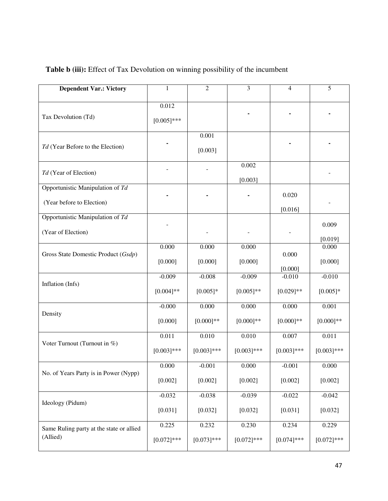| <b>Dependent Var.: Victory</b>                                | 1             | $\overline{2}$   | 3                | 4                | 5                |
|---------------------------------------------------------------|---------------|------------------|------------------|------------------|------------------|
|                                                               | 0.012         |                  |                  |                  |                  |
| Tax Devolution (Td)                                           | $[0.005]$ *** |                  |                  |                  |                  |
| Td (Year Before to the Election)                              |               | 0.001<br>[0.003] |                  |                  |                  |
| Td (Year of Election)                                         |               |                  | 0.002<br>[0.003] |                  |                  |
| Opportunistic Manipulation of Td<br>(Year before to Election) |               |                  |                  | 0.020            |                  |
|                                                               |               |                  |                  | [0.016]          |                  |
| Opportunistic Manipulation of Td<br>(Year of Election)        |               |                  |                  |                  | 0.009<br>[0.019] |
| Gross State Domestic Product (Gsdp)                           | 0.000         | 0.000            | 0.000            |                  | 0.000            |
|                                                               | [0.000]       | [0.000]          | [0.000]          | 0.000<br>[0.000] | [0.000]          |
| Inflation (Infs)                                              | $-0.009$      | $-0.008$         | $-0.009$         | $-0.010$         | $-0.010$         |
|                                                               | $[0.004]$ **  | $[0.005]*$       | $[0.005]$ **     | $[0.029]**$      | $[0.005]*$       |
|                                                               | $-0.000$      | 0.000            | 0.000            | 0.000            | 0.001            |
| Density                                                       | [0.000]       | $[0.000]$ **     | $[0.000]$ **     | $[0.000]**$      | $[0.000]$ **     |
|                                                               | 0.011         | 0.010            | 0.010            | 0.007            | 0.011            |
| Voter Turnout (Turnout in %)                                  | $[0.003]$ *** | $[0.003]$ ***    | $[0.003]$ ***    | $[0.003]$ ***    | $[0.003]$ ***    |
|                                                               | 0.000         | $-0.001$         | 0.000            | $-0.001$         | 0.000            |
| No. of Years Party is in Power (Nypp)                         | [0.002]       | [0.002]          | [0.002]          | [0.002]          | [0.002]          |
|                                                               | $-0.032$      | $-0.038$         | $-0.039$         | $-0.022$         | $-0.042$         |
| Ideology (Pidum)                                              | [0.031]       | [0.032]          | [0.032]          | [0.031]          | [0.032]          |
| Same Ruling party at the state or allied                      | 0.225         | 0.232            | 0.230            | 0.234            | 0.229            |
| (Allied)                                                      | $[0.072]$ *** | $[0.073]$ ***    | $[0.072]$ ***    | $[0.074]$ ***    | $[0.072]***$     |

# **Table b (iii):** Effect of Tax Devolution on winning possibility of the incumbent